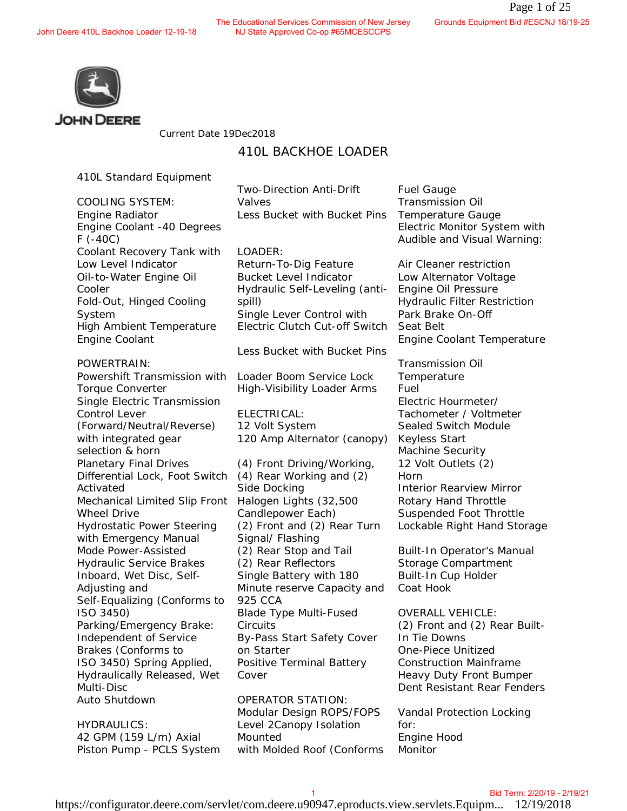The Educational Services Commission of New Jersey<br>John Deere 410L Backhoe Loader 12-19-18 NJ State Approved Co-op #65MCESCCPS NJ State Approved Co-op #65MCESCCPS



Current Date 19Dec2018

# 410L BACKHOE LOADER

410L Standard Equipment

COOLING SYSTEM: Engine Radiator Engine Coolant -40 Degrees F (-40C) Coolant Recovery Tank with Low Level Indicator Oil-to-Water Engine Oil Cooler Fold-Out, Hinged Cooling System High Ambient Temperature Engine Coolant

POWERTRAIN:

Powershift Transmission with Torque Converter Single Electric Transmission Control Lever (Forward/Neutral/Reverse) with integrated gear selection & horn Planetary Final Drives Differential Lock, Foot Switch Activated Mechanical Limited Slip Front Halogen Lights (32,500 Wheel Drive Hydrostatic Power Steering with Emergency Manual Mode Power-Assisted Hydraulic Service Brakes Inboard, Wet Disc, Self-Adjusting and Self-Equalizing (Conforms to ISO 3450) Parking/Emergency Brake: Independent of Service Brakes (Conforms to ISO 3450) Spring Applied, Hydraulically Released, Wet Multi-Disc Auto Shutdown

HYDRAULICS: 42 GPM (159 L/m) Axial Piston Pump - PCLS System Two-Direction Anti-Drift Valves Less Bucket with Bucket Pins

LOADER:

Return-To-Dig Feature Bucket Level Indicator Hydraulic Self-Leveling (antispill) Single Lever Control with Electric Clutch Cut-off Switch

Less Bucket with Bucket Pins

Loader Boom Service Lock High-Visibility Loader Arms

ELECTRICAL: 12 Volt System 120 Amp Alternator (canopy)

(4) Front Driving/Working, (4) Rear Working and (2) Side Docking Candlepower Each) (2) Front and (2) Rear Turn Signal/ Flashing (2) Rear Stop and Tail (2) Rear Reflectors Single Battery with 180 Minute reserve Capacity and 925 CCA Blade Type Multi-Fused **Circuits** By-Pass Start Safety Cover on Starter Positive Terminal Battery Cover

OPERATOR STATION: Modular Design ROPS/FOPS Level 2Canopy Isolation Mounted with Molded Roof (Conforms

Fuel Gauge Transmission Oil Temperature Gauge Electric Monitor System with Audible and Visual Warning:

Air Cleaner restriction Low Alternator Voltage Engine Oil Pressure Hydraulic Filter Restriction Park Brake On-Off Seat Belt Engine Coolant Temperature

Transmission Oil **Temperature** Fuel Electric Hourmeter/ Tachometer / Voltmeter Sealed Switch Module Keyless Start Machine Security 12 Volt Outlets (2) Horn Interior Rearview Mirror Rotary Hand Throttle Suspended Foot Throttle Lockable Right Hand Storage Commission of New Jersey Grounds Equipment Bid #EGONDER<br>
Anti-Drift Fuce Cardies Temperature Gauge<br>
IIIn Bucket Pins I emperature Gauge<br>
IIIn Bucket Pins I emperature Gauge<br>
According Cardies Exception (Low Alternator Volt

Built-In Operator's Manual Storage Compartment Built-In Cup Holder Coat Hook

OVERALL VEHICLE: (2) Front and (2) Rear Built-In Tie Downs One-Piece Unitized Construction Mainframe Heavy Duty Front Bumper Dent Resistant Rear Fenders

Vandal Protection Locking for: Engine Hood **Monitor**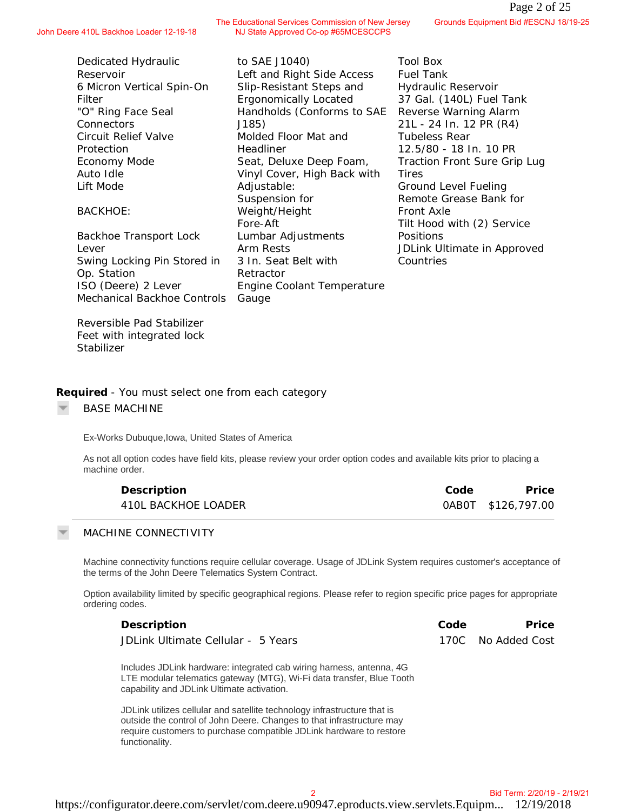Dedicated Hydraulic Reservoir 6 Micron Vertical Spin-On Filter "O" Ring Face Seal **Connectors** Circuit Relief Valve Protection Economy Mode Auto Idle Lift Mode

## BACKHOE:

Backhoe Transport Lock Lever Swing Locking Pin Stored in Op. Station ISO (Deere) 2 Lever Mechanical Backhoe Controls

to SAE J1040) Left and Right Side Access Slip-Resistant Steps and Ergonomically Located Handholds (Conforms to SAE J185) Molded Floor Mat and Headliner Seat, Deluxe Deep Foam, Vinyl Cover, High Back with Adjustable: Suspension for Weight/Height Fore-Aft Lumbar Adjustments Arm Rests 3 In. Seat Belt with Retractor Engine Coolant Temperature Gauge

NJ State Approved Co-op #65MCESCCPS

Tool Box Fuel Tank Hydraulic Reservoir 37 Gal. (140L) Fuel Tank Reverse Warning Alarm 21L - 24 In. 12 PR (R4) Tubeless Rear 12.5/80 - 18 In. 10 PR Traction Front Sure Grip Lug Tires Ground Level Fueling Remote Grease Bank for Front Axle Tilt Hood with (2) Service Positions JDLink Ultimate in Approved Countries Commission Mew Jersey<br>
Conneiston Mew Jersey<br>
Side Access<br>
Tool Box<br>
Site Access<br>
Tool Box<br>
Located 13/19-11 - 24 In. 12 PR (R4)<br>
Located 13/19 - 24 In. 12 PR (R4)<br>
Tubeless Rear<br>
17 - 24 In. 12 PR (R4)<br>
18 and 12.5/80 - 1

Reversible Pad Stabilizer Feet with integrated lock **Stabilizer** 

**Required** *- You must select one from each category*

BASE MACHINE

Ex-Works Dubuque,Iowa, United States of America

As not all option codes have field kits, please review your order option codes and available kits prior to placing a machine order.

| Description         | Code | Price              |
|---------------------|------|--------------------|
| 410L BACKHOE LOADER |      | 0AB0T \$126,797.00 |

### MACHINE CONNECTIVITY

Machine connectivity functions require cellular coverage. Usage of JDLink System requires customer's acceptance of the terms of the John Deere Telematics System Contract.

Option availability limited by specific geographical regions. Please refer to region specific price pages for appropriate ordering codes.

| Description                        | Code | Price              |
|------------------------------------|------|--------------------|
| JDLink Ultimate Cellular - 5 Years |      | 170C No Added Cost |

Includes JDLink hardware: integrated cab wiring harness, antenna, 4G LTE modular telematics gateway (MTG), Wi-Fi data transfer, Blue Tooth capability and JDLink Ultimate activation.

JDLink utilizes cellular and satellite technology infrastructure that is outside the control of John Deere. Changes to that infrastructure may require customers to purchase compatible JDLink hardware to restore functionality.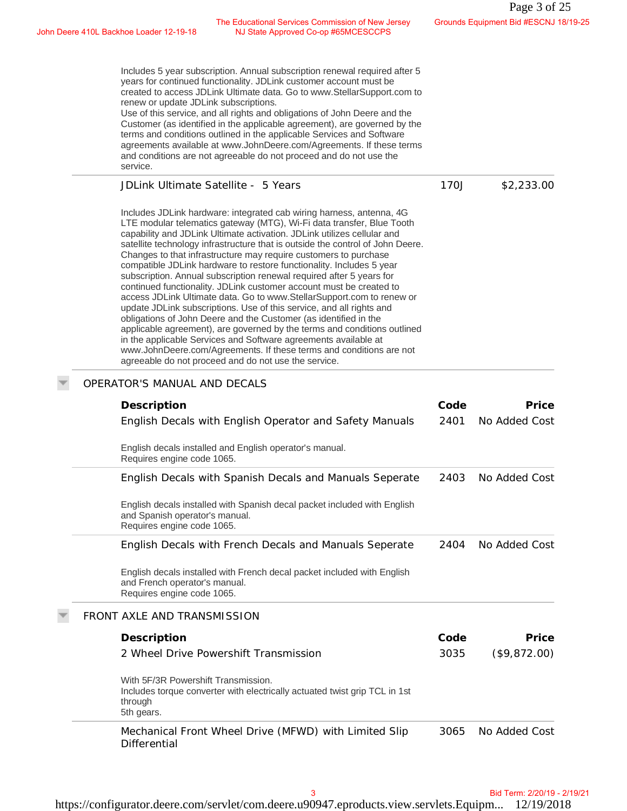John Deere 410L Backhoe Loader 12-19-18 The Educational Services Commission of New Jersey NJ State Approved Co-op #65MCESCCPS

| The Educational Services Commission of New Jersey<br>NJ State Approved Co-op #65MCESCCPS<br>Deere 410L Backhoe Loader 12-19-18                                                                                                                                                                                                                                                                                                                                                                                                                                                                                                                                                                                                                                                                                                                                                                                                                                                                                                                                                                           |      | Grounds Equipment Bid #ESCNJ 18/19-25 |
|----------------------------------------------------------------------------------------------------------------------------------------------------------------------------------------------------------------------------------------------------------------------------------------------------------------------------------------------------------------------------------------------------------------------------------------------------------------------------------------------------------------------------------------------------------------------------------------------------------------------------------------------------------------------------------------------------------------------------------------------------------------------------------------------------------------------------------------------------------------------------------------------------------------------------------------------------------------------------------------------------------------------------------------------------------------------------------------------------------|------|---------------------------------------|
| Includes 5 year subscription. Annual subscription renewal required after 5<br>years for continued functionality. JDLink customer account must be<br>created to access JDLink Ultimate data. Go to www.StellarSupport.com to<br>renew or update JDLink subscriptions.<br>Use of this service, and all rights and obligations of John Deere and the<br>Customer (as identified in the applicable agreement), are governed by the<br>terms and conditions outlined in the applicable Services and Software<br>agreements available at www.JohnDeere.com/Agreements. If these terms<br>and conditions are not agreeable do not proceed and do not use the<br>service.                                                                                                                                                                                                                                                                                                                                                                                                                                        |      |                                       |
| JDLink Ultimate Satellite - 5 Years                                                                                                                                                                                                                                                                                                                                                                                                                                                                                                                                                                                                                                                                                                                                                                                                                                                                                                                                                                                                                                                                      | 170J | \$2,233.00                            |
| Includes JDLink hardware: integrated cab wiring harness, antenna, 4G<br>LTE modular telematics gateway (MTG), Wi-Fi data transfer, Blue Tooth<br>capability and JDLink Ultimate activation. JDLink utilizes cellular and<br>satellite technology infrastructure that is outside the control of John Deere.<br>Changes to that infrastructure may require customers to purchase<br>compatible JDLink hardware to restore functionality. Includes 5 year<br>subscription. Annual subscription renewal required after 5 years for<br>continued functionality. JDLink customer account must be created to<br>access JDLink Ultimate data. Go to www.StellarSupport.com to renew or<br>update JDLink subscriptions. Use of this service, and all rights and<br>obligations of John Deere and the Customer (as identified in the<br>applicable agreement), are governed by the terms and conditions outlined<br>in the applicable Services and Software agreements available at<br>www.JohnDeere.com/Agreements. If these terms and conditions are not<br>agreeable do not proceed and do not use the service. |      |                                       |
| OPERATOR'S MANUAL AND DECALS                                                                                                                                                                                                                                                                                                                                                                                                                                                                                                                                                                                                                                                                                                                                                                                                                                                                                                                                                                                                                                                                             |      |                                       |
| Description                                                                                                                                                                                                                                                                                                                                                                                                                                                                                                                                                                                                                                                                                                                                                                                                                                                                                                                                                                                                                                                                                              | Code | Price                                 |
| English Decals with English Operator and Safety Manuals                                                                                                                                                                                                                                                                                                                                                                                                                                                                                                                                                                                                                                                                                                                                                                                                                                                                                                                                                                                                                                                  | 2401 | No Added Cost                         |
| English decals installed and English operator's manual.<br>Requires engine code 1065.                                                                                                                                                                                                                                                                                                                                                                                                                                                                                                                                                                                                                                                                                                                                                                                                                                                                                                                                                                                                                    |      |                                       |
| English Decals with Spanish Decals and Manuals Seperate                                                                                                                                                                                                                                                                                                                                                                                                                                                                                                                                                                                                                                                                                                                                                                                                                                                                                                                                                                                                                                                  | 2403 | No Added Cost                         |
| English decals installed with Spanish decal packet included with English<br>and Spanish operator's manual.<br>Requires engine code 1065.                                                                                                                                                                                                                                                                                                                                                                                                                                                                                                                                                                                                                                                                                                                                                                                                                                                                                                                                                                 |      |                                       |
| English Decals with French Decals and Manuals Seperate                                                                                                                                                                                                                                                                                                                                                                                                                                                                                                                                                                                                                                                                                                                                                                                                                                                                                                                                                                                                                                                   | 2404 | No Added Cost                         |
| English decals installed with French decal packet included with English<br>and French operator's manual.<br>Requires engine code 1065.                                                                                                                                                                                                                                                                                                                                                                                                                                                                                                                                                                                                                                                                                                                                                                                                                                                                                                                                                                   |      |                                       |
| FRONT AXLE AND TRANSMISSION                                                                                                                                                                                                                                                                                                                                                                                                                                                                                                                                                                                                                                                                                                                                                                                                                                                                                                                                                                                                                                                                              |      |                                       |
| Description                                                                                                                                                                                                                                                                                                                                                                                                                                                                                                                                                                                                                                                                                                                                                                                                                                                                                                                                                                                                                                                                                              | Code | Price                                 |
| 2 Wheel Drive Powershift Transmission                                                                                                                                                                                                                                                                                                                                                                                                                                                                                                                                                                                                                                                                                                                                                                                                                                                                                                                                                                                                                                                                    | 3035 | (\$9,872.00)                          |
| With 5F/3R Powershift Transmission.<br>Includes torque converter with electrically actuated twist grip TCL in 1st<br>through<br>5th gears.                                                                                                                                                                                                                                                                                                                                                                                                                                                                                                                                                                                                                                                                                                                                                                                                                                                                                                                                                               |      |                                       |
| Mechanical Front Wheel Drive (MFWD) with Limited Slip<br>Differential                                                                                                                                                                                                                                                                                                                                                                                                                                                                                                                                                                                                                                                                                                                                                                                                                                                                                                                                                                                                                                    | 3065 | No Added Cost                         |
| 3                                                                                                                                                                                                                                                                                                                                                                                                                                                                                                                                                                                                                                                                                                                                                                                                                                                                                                                                                                                                                                                                                                        |      | Bid Term: 2/20/19 - 2/19/21           |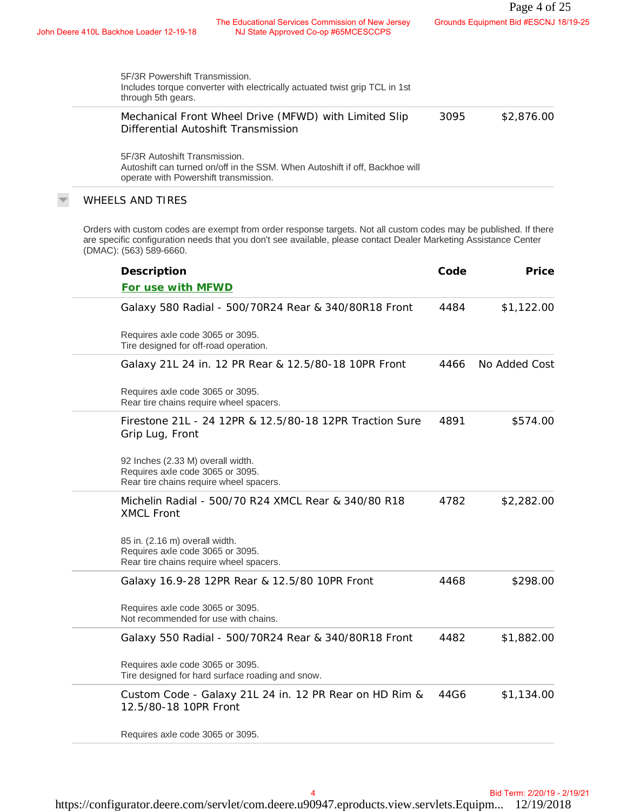John Deere 410L Backhoe Loader 12-19-18 The Educational Services Commission of New Jersey<br>NJ State Approved Co-op #65MCESCCPS NJ State Approved Co-op #65MCESCCPS

| 5F/3R Powershift Transmission.<br>Includes torque converter with electrically actuated twist grip TCL in 1st<br>through 5th gears.                    |      |            |
|-------------------------------------------------------------------------------------------------------------------------------------------------------|------|------------|
| Mechanical Front Wheel Drive (MFWD) with Limited Slip<br>Differential Autoshift Transmission                                                          | 3095 | \$2,876.00 |
| 5F/3R Autoshift Transmission.<br>Autoshift can turned on/off in the SSM. When Autoshift if off, Backhoe will<br>operate with Powershift transmission. |      |            |
| WHEELS AND TIRES                                                                                                                                      |      |            |

| 5F/3R Powershift Transmission.<br>Includes torque converter with electrically actuated twist grip TCL in 1st<br>through 5th gears.                                                                                                                              |      |               |
|-----------------------------------------------------------------------------------------------------------------------------------------------------------------------------------------------------------------------------------------------------------------|------|---------------|
| Mechanical Front Wheel Drive (MFWD) with Limited Slip<br>Differential Autoshift Transmission                                                                                                                                                                    | 3095 | \$2,876.00    |
| 5F/3R Autoshift Transmission.<br>Autoshift can turned on/off in the SSM. When Autoshift if off, Backhoe will<br>operate with Powershift transmission.                                                                                                           |      |               |
| <b>WHEELS AND TIRES</b>                                                                                                                                                                                                                                         |      |               |
| Orders with custom codes are exempt from order response targets. Not all custom codes may be published. If there<br>are specific configuration needs that you don't see available, please contact Dealer Marketing Assistance Center<br>(DMAC): (563) 589-6660. |      |               |
| Description                                                                                                                                                                                                                                                     | Code | Price         |
| For use with MFWD                                                                                                                                                                                                                                               |      |               |
| Galaxy 580 Radial - 500/70R24 Rear & 340/80R18 Front                                                                                                                                                                                                            | 4484 | \$1,122.00    |
| Requires axle code 3065 or 3095.<br>Tire designed for off-road operation.                                                                                                                                                                                       |      |               |
| Galaxy 21L 24 in. 12 PR Rear & 12.5/80-18 10PR Front                                                                                                                                                                                                            | 4466 | No Added Cost |
| Requires axle code 3065 or 3095.<br>Rear tire chains require wheel spacers.                                                                                                                                                                                     |      |               |
| Firestone 21L - 24 12PR & 12.5/80-18 12PR Traction Sure<br>Grip Lug, Front                                                                                                                                                                                      | 4891 | \$574.00      |
| 92 Inches (2.33 M) overall width.<br>Requires axle code 3065 or 3095.<br>Rear tire chains require wheel spacers.                                                                                                                                                |      |               |
| Michelin Radial - 500/70 R24 XMCL Rear & 340/80 R18<br><b>XMCL Front</b>                                                                                                                                                                                        | 4782 | \$2,282.00    |
| 85 in. (2.16 m) overall width.<br>Requires axle code 3065 or 3095.<br>Rear tire chains require wheel spacers.                                                                                                                                                   |      |               |
| Galaxy 16.9-28 12PR Rear & 12.5/80 10PR Front                                                                                                                                                                                                                   | 4468 | \$298.00      |
| Requires axle code 3065 or 3095.<br>Not recommended for use with chains.                                                                                                                                                                                        |      |               |
| Galaxy 550 Radial - 500/70R24 Rear & 340/80R18 Front                                                                                                                                                                                                            | 4482 | \$1,882.00    |
| Requires axle code 3065 or 3095.<br>Tire designed for hard surface roading and snow.                                                                                                                                                                            |      |               |
| Custom Code - Galaxy 21L 24 in. 12 PR Rear on HD Rim &<br>12.5/80-18 10PR Front                                                                                                                                                                                 | 44G6 | \$1,134.00    |
| Requires axle code 3065 or 3095.                                                                                                                                                                                                                                |      |               |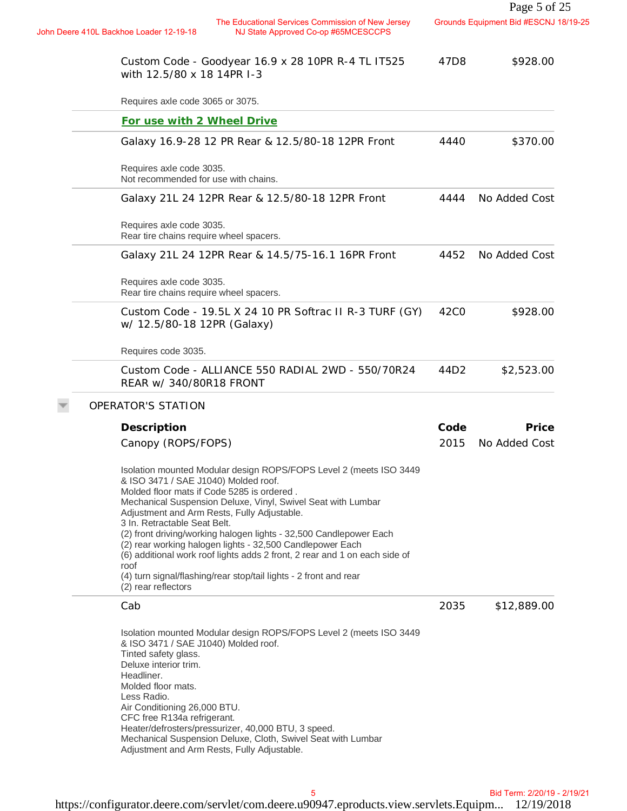|                                                                                                                                                                                                                                                                                                                                                                                                                                                                                                                                                                                                                              |                  | Page 5 of 25                          |
|------------------------------------------------------------------------------------------------------------------------------------------------------------------------------------------------------------------------------------------------------------------------------------------------------------------------------------------------------------------------------------------------------------------------------------------------------------------------------------------------------------------------------------------------------------------------------------------------------------------------------|------------------|---------------------------------------|
| The Educational Services Commission of New Jersey<br>John Deere 410L Backhoe Loader 12-19-18<br>NJ State Approved Co-op #65MCESCCPS                                                                                                                                                                                                                                                                                                                                                                                                                                                                                          |                  | Grounds Equipment Bid #ESCNJ 18/19-25 |
| Custom Code - Goodyear 16.9 x 28 10PR R-4 TL IT525<br>with 12.5/80 x 18 14PR I-3                                                                                                                                                                                                                                                                                                                                                                                                                                                                                                                                             | 47D8             | \$928.00                              |
| Requires axle code 3065 or 3075.                                                                                                                                                                                                                                                                                                                                                                                                                                                                                                                                                                                             |                  |                                       |
| For use with 2 Wheel Drive                                                                                                                                                                                                                                                                                                                                                                                                                                                                                                                                                                                                   |                  |                                       |
| Galaxy 16.9-28 12 PR Rear & 12.5/80-18 12PR Front                                                                                                                                                                                                                                                                                                                                                                                                                                                                                                                                                                            | 4440             | \$370.00                              |
| Requires axle code 3035.<br>Not recommended for use with chains.                                                                                                                                                                                                                                                                                                                                                                                                                                                                                                                                                             |                  |                                       |
| Galaxy 21L 24 12PR Rear & 12.5/80-18 12PR Front                                                                                                                                                                                                                                                                                                                                                                                                                                                                                                                                                                              | 4444             | No Added Cost                         |
| Requires axle code 3035.<br>Rear tire chains require wheel spacers.                                                                                                                                                                                                                                                                                                                                                                                                                                                                                                                                                          |                  |                                       |
| Galaxy 21L 24 12PR Rear & 14.5/75-16.1 16PR Front                                                                                                                                                                                                                                                                                                                                                                                                                                                                                                                                                                            | 4452             | No Added Cost                         |
| Requires axle code 3035.<br>Rear tire chains require wheel spacers.                                                                                                                                                                                                                                                                                                                                                                                                                                                                                                                                                          |                  |                                       |
| Custom Code - 19.5L X 24 10 PR Softrac II R-3 TURF (GY)<br>w/ 12.5/80-18 12PR (Galaxy)                                                                                                                                                                                                                                                                                                                                                                                                                                                                                                                                       | 42C <sub>0</sub> | \$928.00                              |
| Requires code 3035.                                                                                                                                                                                                                                                                                                                                                                                                                                                                                                                                                                                                          |                  |                                       |
| Custom Code - ALLIANCE 550 RADIAL 2WD - 550/70R24<br>REAR w/ 340/80R18 FRONT                                                                                                                                                                                                                                                                                                                                                                                                                                                                                                                                                 | 44D2             | \$2,523.00                            |
| OPERATOR'S STATION                                                                                                                                                                                                                                                                                                                                                                                                                                                                                                                                                                                                           |                  |                                       |
| Description                                                                                                                                                                                                                                                                                                                                                                                                                                                                                                                                                                                                                  | Code             | Price                                 |
| Canopy (ROPS/FOPS)                                                                                                                                                                                                                                                                                                                                                                                                                                                                                                                                                                                                           | 2015             | No Added Cost                         |
| Isolation mounted Modular design ROPS/FOPS Level 2 (meets ISO 3449<br>& ISO 3471 / SAE J1040) Molded roof.<br>Molded floor mats if Code 5285 is ordered.<br>Mechanical Suspension Deluxe, Vinyl, Swivel Seat with Lumbar<br>Adjustment and Arm Rests, Fully Adjustable.<br>3 In. Retractable Seat Belt.<br>(2) front driving/working halogen lights - 32,500 Candlepower Each<br>(2) rear working halogen lights - 32,500 Candlepower Each<br>(6) additional work roof lights adds 2 front, 2 rear and 1 on each side of<br>roof<br>(4) turn signal/flashing/rear stop/tail lights - 2 front and rear<br>(2) rear reflectors |                  |                                       |
| Cab                                                                                                                                                                                                                                                                                                                                                                                                                                                                                                                                                                                                                          | 2035             | \$12,889.00                           |
| Isolation mounted Modular design ROPS/FOPS Level 2 (meets ISO 3449<br>& ISO 3471 / SAE J1040) Molded roof.<br>Tinted safety glass.<br>Deluxe interior trim.<br>Headliner.<br>Molded floor mats.<br>Less Radio.<br>Air Conditioning 26,000 BTU.<br>CFC free R134a refrigerant.<br>Heater/defrosters/pressurizer, 40,000 BTU, 3 speed.<br>Mechanical Suspension Deluxe, Cloth, Swivel Seat with Lumbar<br>Adjustment and Arm Rests, Fully Adjustable.                                                                                                                                                                          |                  |                                       |
| 5                                                                                                                                                                                                                                                                                                                                                                                                                                                                                                                                                                                                                            |                  | Bid Term: 2/20/19 - 2/19/21           |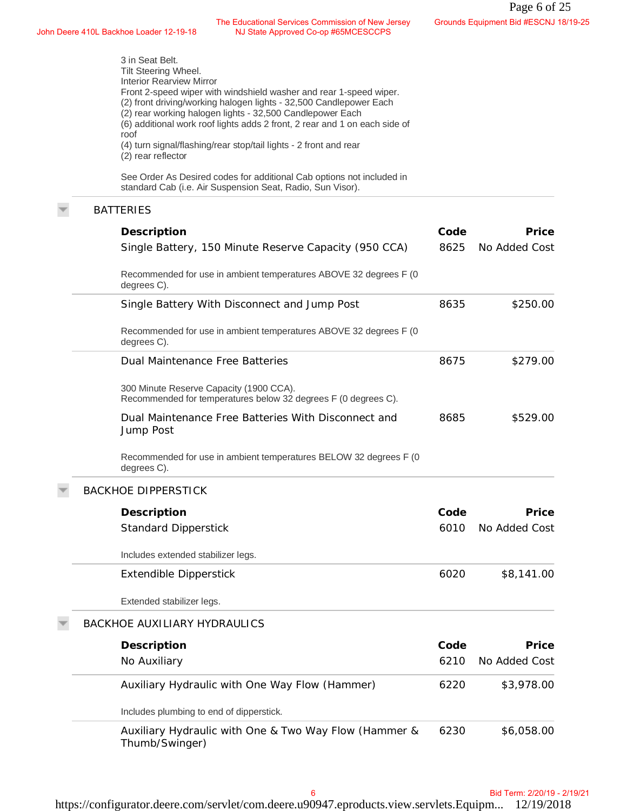John Deere 410L Backhoe Loader 12-19-18 The Educational Services Commission of New Jersey NJ State Approved Co-op #65MCESCCPS

| The Educational Services Commission of New Jersey<br>hn Deere 410L Backhoe Loader 12-19-18<br>NJ State Approved Co-op #65MCESCCPS                                                                                                                                                                                                                                                                                                                                    |      | Grounds Equipment Bid #ESCNJ 18/19-25 |
|----------------------------------------------------------------------------------------------------------------------------------------------------------------------------------------------------------------------------------------------------------------------------------------------------------------------------------------------------------------------------------------------------------------------------------------------------------------------|------|---------------------------------------|
| 3 in Seat Belt.<br>Tilt Steering Wheel.<br><b>Interior Rearview Mirror</b><br>Front 2-speed wiper with windshield washer and rear 1-speed wiper.<br>(2) front driving/working halogen lights - 32,500 Candlepower Each<br>(2) rear working halogen lights - 32,500 Candlepower Each<br>(6) additional work roof lights adds 2 front, 2 rear and 1 on each side of<br>roof<br>(4) turn signal/flashing/rear stop/tail lights - 2 front and rear<br>(2) rear reflector |      |                                       |
| See Order As Desired codes for additional Cab options not included in<br>standard Cab (i.e. Air Suspension Seat, Radio, Sun Visor).                                                                                                                                                                                                                                                                                                                                  |      |                                       |
| <b>BATTERIES</b>                                                                                                                                                                                                                                                                                                                                                                                                                                                     |      |                                       |
| Description                                                                                                                                                                                                                                                                                                                                                                                                                                                          | Code | Price                                 |
| Single Battery, 150 Minute Reserve Capacity (950 CCA)                                                                                                                                                                                                                                                                                                                                                                                                                | 8625 | No Added Cost                         |
| Recommended for use in ambient temperatures ABOVE 32 degrees F (0<br>degrees C).                                                                                                                                                                                                                                                                                                                                                                                     |      |                                       |
| Single Battery With Disconnect and Jump Post                                                                                                                                                                                                                                                                                                                                                                                                                         | 8635 | \$250.00                              |
| Recommended for use in ambient temperatures ABOVE 32 degrees F (0<br>degrees C).                                                                                                                                                                                                                                                                                                                                                                                     |      |                                       |
| Dual Maintenance Free Batteries                                                                                                                                                                                                                                                                                                                                                                                                                                      | 8675 | \$279.00                              |
| 300 Minute Reserve Capacity (1900 CCA).<br>Recommended for temperatures below 32 degrees F (0 degrees C).                                                                                                                                                                                                                                                                                                                                                            |      |                                       |
| Dual Maintenance Free Batteries With Disconnect and<br>Jump Post                                                                                                                                                                                                                                                                                                                                                                                                     | 8685 | \$529.00                              |
| Recommended for use in ambient temperatures BELOW 32 degrees F (0<br>degrees C).                                                                                                                                                                                                                                                                                                                                                                                     |      |                                       |
| <b>BACKHOE DIPPERSTICK</b>                                                                                                                                                                                                                                                                                                                                                                                                                                           |      |                                       |
| Description                                                                                                                                                                                                                                                                                                                                                                                                                                                          | Code | Price                                 |
| <b>Standard Dipperstick</b>                                                                                                                                                                                                                                                                                                                                                                                                                                          | 6010 | No Added Cost                         |
| Includes extended stabilizer legs.                                                                                                                                                                                                                                                                                                                                                                                                                                   |      |                                       |
| <b>Extendible Dipperstick</b>                                                                                                                                                                                                                                                                                                                                                                                                                                        | 6020 | \$8,141.00                            |
| Extended stabilizer legs.                                                                                                                                                                                                                                                                                                                                                                                                                                            |      |                                       |
| <b>BACKHOE AUXILIARY HYDRAULICS</b>                                                                                                                                                                                                                                                                                                                                                                                                                                  |      |                                       |
| Description                                                                                                                                                                                                                                                                                                                                                                                                                                                          | Code | Price                                 |
| No Auxiliary                                                                                                                                                                                                                                                                                                                                                                                                                                                         | 6210 | No Added Cost                         |
| Auxiliary Hydraulic with One Way Flow (Hammer)                                                                                                                                                                                                                                                                                                                                                                                                                       | 6220 | \$3,978.00                            |
| Includes plumbing to end of dipperstick.                                                                                                                                                                                                                                                                                                                                                                                                                             |      |                                       |
| Auxiliary Hydraulic with One & Two Way Flow (Hammer &<br>Thumb/Swinger)                                                                                                                                                                                                                                                                                                                                                                                              | 6230 | \$6,058.00                            |
|                                                                                                                                                                                                                                                                                                                                                                                                                                                                      |      |                                       |
| 6                                                                                                                                                                                                                                                                                                                                                                                                                                                                    |      | Bid Term: 2/20/19 - 2/19/21           |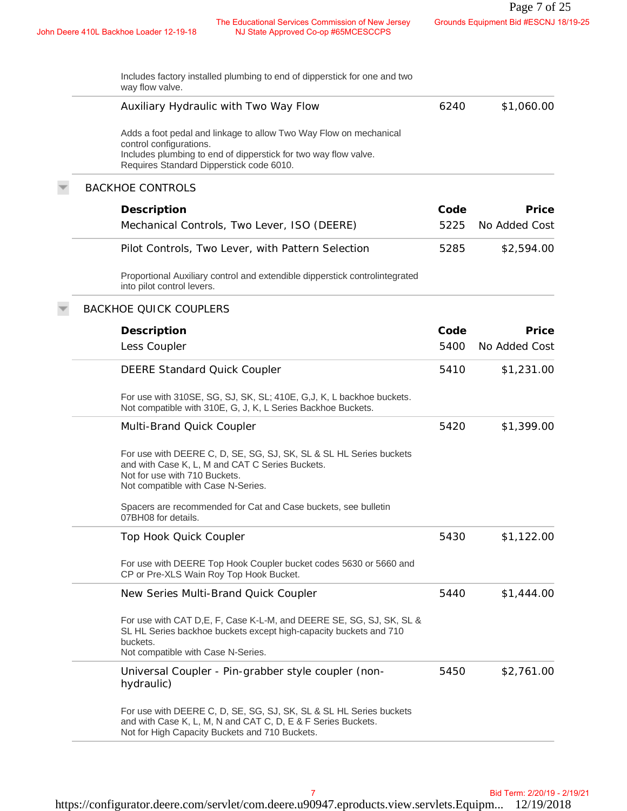John Deere 410L Backhoe Loader 12-19-18 The Educational Services Commission of New Jersey NJ State Approved Co-op #65MCESCCPS

| Includes factory installed plumbing to end of dipperstick for one and two<br>way flow valve.                                                                                                                |              |                        |
|-------------------------------------------------------------------------------------------------------------------------------------------------------------------------------------------------------------|--------------|------------------------|
| Auxiliary Hydraulic with Two Way Flow                                                                                                                                                                       | 6240         | \$1,060.00             |
| Adds a foot pedal and linkage to allow Two Way Flow on mechanical<br>control configurations.<br>Includes plumbing to end of dipperstick for two way flow valve.<br>Requires Standard Dipperstick code 6010. |              |                        |
| <b>BACKHOE CONTROLS</b>                                                                                                                                                                                     |              |                        |
| Description<br>Mechanical Controls, Two Lever, ISO (DEERE)                                                                                                                                                  | Code<br>5225 | Price<br>No Added Cost |
| Pilot Controls, Two Lever, with Pattern Selection                                                                                                                                                           | 5285         | \$2,594.00             |
| Proportional Auxiliary control and extendible dipperstick controlintegrated<br>into pilot control levers.                                                                                                   |              |                        |
| <b>BACKHOE QUICK COUPLERS</b>                                                                                                                                                                               |              |                        |
| Description<br>Less Coupler                                                                                                                                                                                 | Code<br>5400 | Price<br>No Added Cost |
| <b>DEERE Standard Quick Coupler</b>                                                                                                                                                                         | 5410         | \$1,231.00             |
| For use with 310SE, SG, SJ, SK, SL; 410E, G,J, K, L backhoe buckets.<br>Not compatible with 310E, G, J, K, L Series Backhoe Buckets.                                                                        |              |                        |
| Multi-Brand Quick Coupler                                                                                                                                                                                   | 5420         | \$1,399.00             |
| For use with DEERE C, D, SE, SG, SJ, SK, SL & SL HL Series buckets<br>and with Case K, L, M and CAT C Series Buckets.<br>Not for use with 710 Buckets.<br>Not compatible with Case N-Series.                |              |                        |
| Spacers are recommended for Cat and Case buckets, see bulletin<br>07BH08 for details.                                                                                                                       |              |                        |
| Top Hook Quick Coupler                                                                                                                                                                                      | 5430         | \$1,122.00             |
| For use with DEERE Top Hook Coupler bucket codes 5630 or 5660 and<br>CP or Pre-XLS Wain Roy Top Hook Bucket.                                                                                                |              |                        |
| New Series Multi-Brand Quick Coupler                                                                                                                                                                        | 5440         | \$1,444.00             |
| For use with CAT D, E, F, Case K-L-M, and DEERE SE, SG, SJ, SK, SL &<br>SL HL Series backhoe buckets except high-capacity buckets and 710<br>buckets.<br>Not compatible with Case N-Series.                 |              |                        |
| Universal Coupler - Pin-grabber style coupler (non-<br>hydraulic)                                                                                                                                           | 5450         | \$2,761.00             |
| For use with DEERE C, D, SE, SG, SJ, SK, SL & SL HL Series buckets<br>and with Case K, L, M, N and CAT C, D, E & F Series Buckets.<br>Not for High Capacity Buckets and 710 Buckets.                        |              |                        |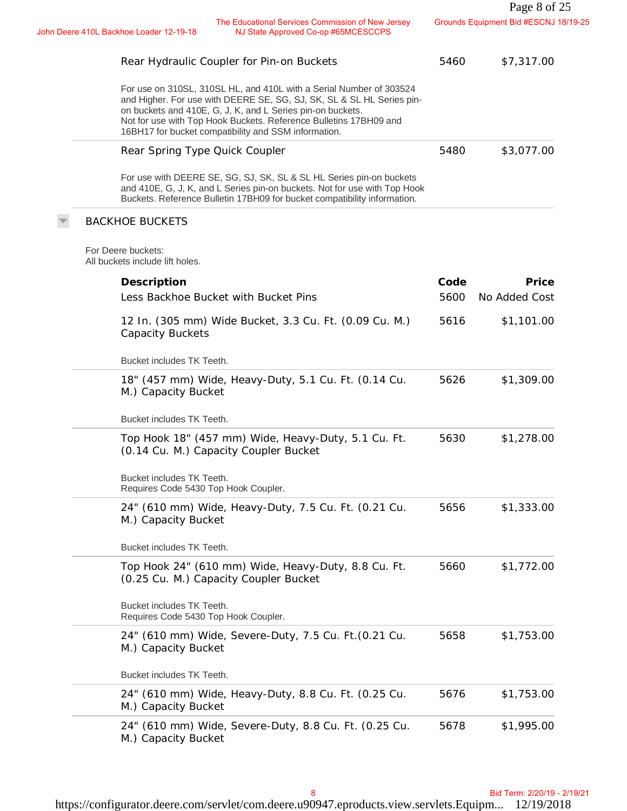| The Educational Services Commission of New Jersey<br>John Deere 410L Backhoe Loader 12-19-18<br>NJ State Approved Co-op #65MCESCCPS<br>Rear Hydraulic Coupler for Pin-on Buckets<br>For use on 310SL, 310SL HL, and 410L with a Serial Number of 303524<br>and Higher. For use with DEERE SE, SG, SJ, SK, SL & SL HL Series pin-<br>on buckets and 410E, G, J, K, and L Series pin-on buckets.<br>Not for use with Top Hook Buckets. Reference Bulletins 17BH09 and<br>16BH17 for bucket compatibility and SSM information.<br>Rear Spring Type Quick Coupler<br>For use with DEERE SE, SG, SJ, SK, SL & SL HL Series pin-on buckets<br>and 410E, G, J, K, and L Series pin-on buckets. Not for use with Top Hook<br>Buckets. Reference Bulletin 17BH09 for bucket compatibility information.<br><b>BACKHOE BUCKETS</b><br>For Deere buckets:<br>All buckets include lift holes. | 5460<br>5480                                                                                              | Grounds Equipment Bid #ESCNJ 18/19-25<br>\$7,317.00<br>\$3,077.00 |
|----------------------------------------------------------------------------------------------------------------------------------------------------------------------------------------------------------------------------------------------------------------------------------------------------------------------------------------------------------------------------------------------------------------------------------------------------------------------------------------------------------------------------------------------------------------------------------------------------------------------------------------------------------------------------------------------------------------------------------------------------------------------------------------------------------------------------------------------------------------------------------|-----------------------------------------------------------------------------------------------------------|-------------------------------------------------------------------|
|                                                                                                                                                                                                                                                                                                                                                                                                                                                                                                                                                                                                                                                                                                                                                                                                                                                                                  |                                                                                                           |                                                                   |
|                                                                                                                                                                                                                                                                                                                                                                                                                                                                                                                                                                                                                                                                                                                                                                                                                                                                                  |                                                                                                           |                                                                   |
|                                                                                                                                                                                                                                                                                                                                                                                                                                                                                                                                                                                                                                                                                                                                                                                                                                                                                  |                                                                                                           |                                                                   |
|                                                                                                                                                                                                                                                                                                                                                                                                                                                                                                                                                                                                                                                                                                                                                                                                                                                                                  |                                                                                                           |                                                                   |
|                                                                                                                                                                                                                                                                                                                                                                                                                                                                                                                                                                                                                                                                                                                                                                                                                                                                                  |                                                                                                           |                                                                   |
|                                                                                                                                                                                                                                                                                                                                                                                                                                                                                                                                                                                                                                                                                                                                                                                                                                                                                  |                                                                                                           |                                                                   |
|                                                                                                                                                                                                                                                                                                                                                                                                                                                                                                                                                                                                                                                                                                                                                                                                                                                                                  |                                                                                                           |                                                                   |
| Description                                                                                                                                                                                                                                                                                                                                                                                                                                                                                                                                                                                                                                                                                                                                                                                                                                                                      | Code                                                                                                      | Price                                                             |
| Less Backhoe Bucket with Bucket Pins                                                                                                                                                                                                                                                                                                                                                                                                                                                                                                                                                                                                                                                                                                                                                                                                                                             | 5600                                                                                                      | No Added Cost                                                     |
| 12 In. (305 mm) Wide Bucket, 3.3 Cu. Ft. (0.09 Cu. M.)<br><b>Capacity Buckets</b>                                                                                                                                                                                                                                                                                                                                                                                                                                                                                                                                                                                                                                                                                                                                                                                                | 5616                                                                                                      | \$1,101.00                                                        |
| Bucket includes TK Teeth.                                                                                                                                                                                                                                                                                                                                                                                                                                                                                                                                                                                                                                                                                                                                                                                                                                                        |                                                                                                           |                                                                   |
| 18" (457 mm) Wide, Heavy-Duty, 5.1 Cu. Ft. (0.14 Cu.<br>M.) Capacity Bucket                                                                                                                                                                                                                                                                                                                                                                                                                                                                                                                                                                                                                                                                                                                                                                                                      | 5626                                                                                                      | \$1,309.00                                                        |
| Bucket includes TK Teeth.                                                                                                                                                                                                                                                                                                                                                                                                                                                                                                                                                                                                                                                                                                                                                                                                                                                        |                                                                                                           |                                                                   |
| Top Hook 18" (457 mm) Wide, Heavy-Duty, 5.1 Cu. Ft.<br>(0.14 Cu. M.) Capacity Coupler Bucket                                                                                                                                                                                                                                                                                                                                                                                                                                                                                                                                                                                                                                                                                                                                                                                     | 5630                                                                                                      | \$1,278.00                                                        |
| Bucket includes TK Teeth.<br>Requires Code 5430 Top Hook Coupler.                                                                                                                                                                                                                                                                                                                                                                                                                                                                                                                                                                                                                                                                                                                                                                                                                |                                                                                                           |                                                                   |
| 24" (610 mm) Wide, Heavy-Duty, 7.5 Cu. Ft. (0.21 Cu.<br>M.) Capacity Bucket                                                                                                                                                                                                                                                                                                                                                                                                                                                                                                                                                                                                                                                                                                                                                                                                      | 5656                                                                                                      | \$1,333.00                                                        |
| Bucket includes TK Teeth.                                                                                                                                                                                                                                                                                                                                                                                                                                                                                                                                                                                                                                                                                                                                                                                                                                                        |                                                                                                           |                                                                   |
| Top Hook 24" (610 mm) Wide, Heavy-Duty, 8.8 Cu. Ft.<br>(0.25 Cu. M.) Capacity Coupler Bucket                                                                                                                                                                                                                                                                                                                                                                                                                                                                                                                                                                                                                                                                                                                                                                                     | 5660                                                                                                      | \$1,772.00                                                        |
| Bucket includes TK Teeth.<br>Requires Code 5430 Top Hook Coupler.                                                                                                                                                                                                                                                                                                                                                                                                                                                                                                                                                                                                                                                                                                                                                                                                                |                                                                                                           |                                                                   |
| 24" (610 mm) Wide, Severe-Duty, 7.5 Cu. Ft. (0.21 Cu.<br>M.) Capacity Bucket                                                                                                                                                                                                                                                                                                                                                                                                                                                                                                                                                                                                                                                                                                                                                                                                     | 5658                                                                                                      | \$1,753.00                                                        |
|                                                                                                                                                                                                                                                                                                                                                                                                                                                                                                                                                                                                                                                                                                                                                                                                                                                                                  |                                                                                                           |                                                                   |
|                                                                                                                                                                                                                                                                                                                                                                                                                                                                                                                                                                                                                                                                                                                                                                                                                                                                                  | 5676                                                                                                      | \$1,753.00                                                        |
| 24" (610 mm) Wide, Heavy-Duty, 8.8 Cu. Ft. (0.25 Cu.<br>M.) Capacity Bucket                                                                                                                                                                                                                                                                                                                                                                                                                                                                                                                                                                                                                                                                                                                                                                                                      | 5678                                                                                                      | \$1,995.00                                                        |
|                                                                                                                                                                                                                                                                                                                                                                                                                                                                                                                                                                                                                                                                                                                                                                                                                                                                                  | Bucket includes TK Teeth.<br>24" (610 mm) Wide, Severe-Duty, 8.8 Cu. Ft. (0.25 Cu.<br>M.) Capacity Bucket |                                                                   |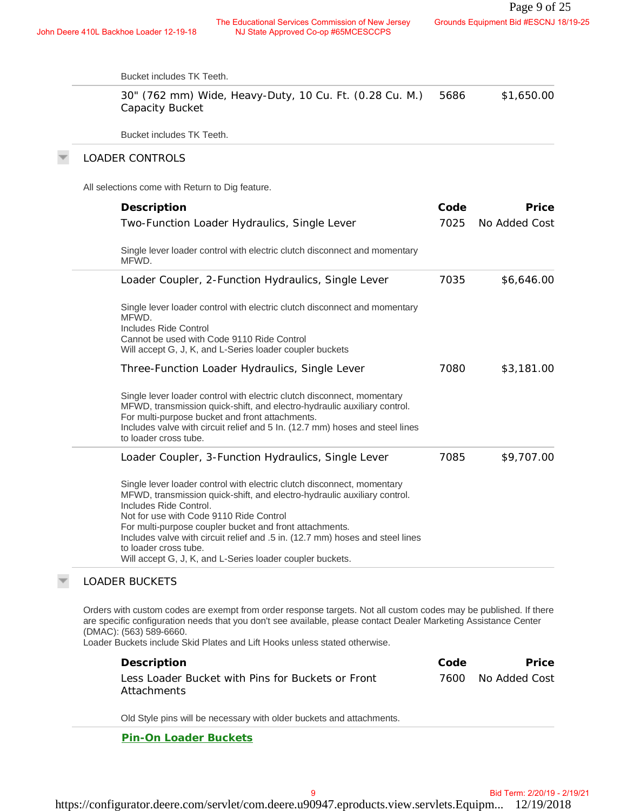| Bucket includes TK Teeth.                                                                                                                                                                                                                                                                                                                                                                                                                                 |      |               |
|-----------------------------------------------------------------------------------------------------------------------------------------------------------------------------------------------------------------------------------------------------------------------------------------------------------------------------------------------------------------------------------------------------------------------------------------------------------|------|---------------|
| 30" (762 mm) Wide, Heavy-Duty, 10 Cu. Ft. (0.28 Cu. M.)<br>Capacity Bucket                                                                                                                                                                                                                                                                                                                                                                                | 5686 | \$1,650.00    |
| Bucket includes TK Teeth.                                                                                                                                                                                                                                                                                                                                                                                                                                 |      |               |
| <b>LOADER CONTROLS</b>                                                                                                                                                                                                                                                                                                                                                                                                                                    |      |               |
| All selections come with Return to Dig feature.                                                                                                                                                                                                                                                                                                                                                                                                           |      |               |
| Description                                                                                                                                                                                                                                                                                                                                                                                                                                               | Code | Price         |
| Two-Function Loader Hydraulics, Single Lever                                                                                                                                                                                                                                                                                                                                                                                                              | 7025 | No Added Cost |
| Single lever loader control with electric clutch disconnect and momentary<br>MFWD.                                                                                                                                                                                                                                                                                                                                                                        |      |               |
| Loader Coupler, 2-Function Hydraulics, Single Lever                                                                                                                                                                                                                                                                                                                                                                                                       | 7035 | \$6,646.00    |
| Single lever loader control with electric clutch disconnect and momentary<br>MFWD.<br>Includes Ride Control<br>Cannot be used with Code 9110 Ride Control<br>Will accept G, J, K, and L-Series loader coupler buckets                                                                                                                                                                                                                                     |      |               |
| Three-Function Loader Hydraulics, Single Lever                                                                                                                                                                                                                                                                                                                                                                                                            | 7080 | \$3,181.00    |
| Single lever loader control with electric clutch disconnect, momentary<br>MFWD, transmission quick-shift, and electro-hydraulic auxiliary control.<br>For multi-purpose bucket and front attachments.<br>Includes valve with circuit relief and 5 In. (12.7 mm) hoses and steel lines<br>to loader cross tube.                                                                                                                                            |      |               |
| Loader Coupler, 3-Function Hydraulics, Single Lever                                                                                                                                                                                                                                                                                                                                                                                                       | 7085 | \$9,707.00    |
| Single lever loader control with electric clutch disconnect, momentary<br>MFWD, transmission quick-shift, and electro-hydraulic auxiliary control.<br>Includes Ride Control.<br>Not for use with Code 9110 Ride Control<br>For multi-purpose coupler bucket and front attachments.<br>Includes valve with circuit relief and .5 in. (12.7 mm) hoses and steel lines<br>to loader cross tube.<br>Will accept G, J, K, and L-Series loader coupler buckets. |      |               |
| <b>LOADER BUCKETS</b>                                                                                                                                                                                                                                                                                                                                                                                                                                     |      |               |
| Orders with custom codes are exempt from order response targets. Not all custom codes may be published. If there<br>are specific configuration needs that you don't see available, please contact Dealer Marketing Assistance Center<br>(DMAC): (563) 589-6660.<br>Loader Buckets include Skid Plates and Lift Hooks unless stated otherwise.                                                                                                             |      |               |
| Description                                                                                                                                                                                                                                                                                                                                                                                                                                               | Code | Price         |
| Less Loader Bucket with Pins for Buckets or Front<br>Attachments                                                                                                                                                                                                                                                                                                                                                                                          | 7600 | No Added Cost |
| Old Style pins will be necessary with older buckets and attachments.                                                                                                                                                                                                                                                                                                                                                                                      |      |               |
| Pin-On Loader Buckets                                                                                                                                                                                                                                                                                                                                                                                                                                     |      |               |

### LOADER BUCKETS

 $\overline{\psi}$ 

| Description                                       | Code | <b>Price</b>       |
|---------------------------------------------------|------|--------------------|
| Less Loader Bucket with Pins for Buckets or Front |      | 7600 No Added Cost |
| Attachments                                       |      |                    |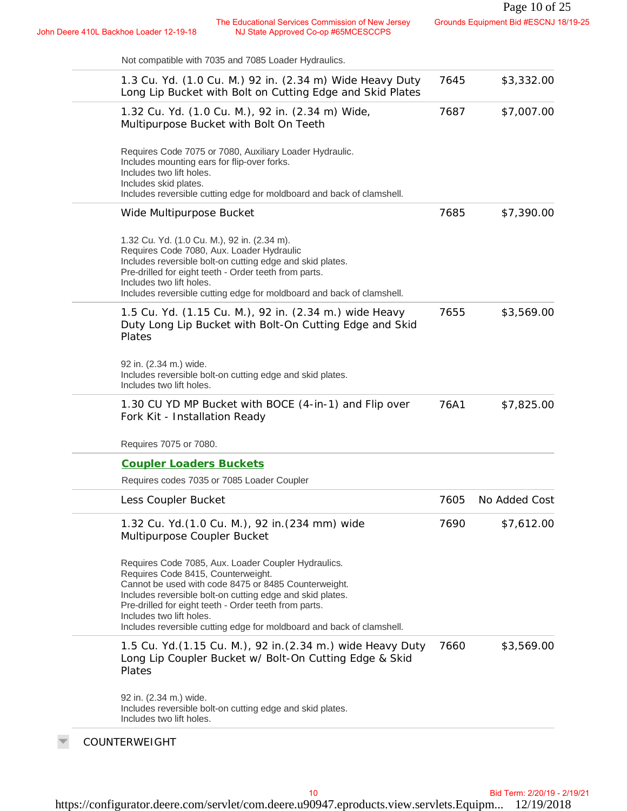| Not compatible with 7035 and 7085 Loader Hydraulics.                                                                                                                                                                                                                                                                                                                         |      |               |
|------------------------------------------------------------------------------------------------------------------------------------------------------------------------------------------------------------------------------------------------------------------------------------------------------------------------------------------------------------------------------|------|---------------|
| 1.3 Cu. Yd. (1.0 Cu. M.) 92 in. (2.34 m) Wide Heavy Duty<br>Long Lip Bucket with Bolt on Cutting Edge and Skid Plates                                                                                                                                                                                                                                                        | 7645 | \$3,332.00    |
| 1.32 Cu. Yd. (1.0 Cu. M.), 92 in. (2.34 m) Wide,<br>Multipurpose Bucket with Bolt On Teeth                                                                                                                                                                                                                                                                                   | 7687 | \$7,007.00    |
| Requires Code 7075 or 7080, Auxiliary Loader Hydraulic.<br>Includes mounting ears for flip-over forks.<br>Includes two lift holes.<br>Includes skid plates.<br>Includes reversible cutting edge for moldboard and back of clamshell.                                                                                                                                         |      |               |
| Wide Multipurpose Bucket                                                                                                                                                                                                                                                                                                                                                     | 7685 | \$7,390.00    |
| 1.32 Cu. Yd. (1.0 Cu. M.), 92 in. (2.34 m).<br>Requires Code 7080, Aux. Loader Hydraulic<br>Includes reversible bolt-on cutting edge and skid plates.<br>Pre-drilled for eight teeth - Order teeth from parts.<br>Includes two lift holes.<br>Includes reversible cutting edge for moldboard and back of clamshell.                                                          |      |               |
| 1.5 Cu. Yd. (1.15 Cu. M.), 92 in. (2.34 m.) wide Heavy<br>Duty Long Lip Bucket with Bolt-On Cutting Edge and Skid<br>Plates                                                                                                                                                                                                                                                  | 7655 | \$3,569.00    |
| 92 in. (2.34 m.) wide.<br>Includes reversible bolt-on cutting edge and skid plates.<br>Includes two lift holes.                                                                                                                                                                                                                                                              |      |               |
| 1.30 CU YD MP Bucket with BOCE (4-in-1) and Flip over<br>Fork Kit - Installation Ready                                                                                                                                                                                                                                                                                       | 76A1 | \$7,825.00    |
| Requires 7075 or 7080.                                                                                                                                                                                                                                                                                                                                                       |      |               |
| <b>Coupler Loaders Buckets</b>                                                                                                                                                                                                                                                                                                                                               |      |               |
| Requires codes 7035 or 7085 Loader Coupler                                                                                                                                                                                                                                                                                                                                   |      |               |
| Less Coupler Bucket                                                                                                                                                                                                                                                                                                                                                          | 7605 | No Added Cost |
| 1.32 Cu. Yd. (1.0 Cu. M.), 92 in. (234 mm) wide<br>Multipurpose Coupler Bucket                                                                                                                                                                                                                                                                                               | 7690 | \$7,612.00    |
| Requires Code 7085, Aux. Loader Coupler Hydraulics.<br>Requires Code 8415, Counterweight.<br>Cannot be used with code 8475 or 8485 Counterweight.<br>Includes reversible bolt-on cutting edge and skid plates.<br>Pre-drilled for eight teeth - Order teeth from parts.<br>Includes two lift holes.<br>Includes reversible cutting edge for moldboard and back of clamshell. |      |               |
| 1.5 Cu. Yd. (1.15 Cu. M.), 92 in. (2.34 m.) wide Heavy Duty<br>Long Lip Coupler Bucket w/ Bolt-On Cutting Edge & Skid<br>Plates                                                                                                                                                                                                                                              | 7660 | \$3,569.00    |
| 92 in. (2.34 m.) wide.<br>Includes reversible bolt-on cutting edge and skid plates.<br>Includes two lift holes.                                                                                                                                                                                                                                                              |      |               |
| COUNTERWEIGHT                                                                                                                                                                                                                                                                                                                                                                |      |               |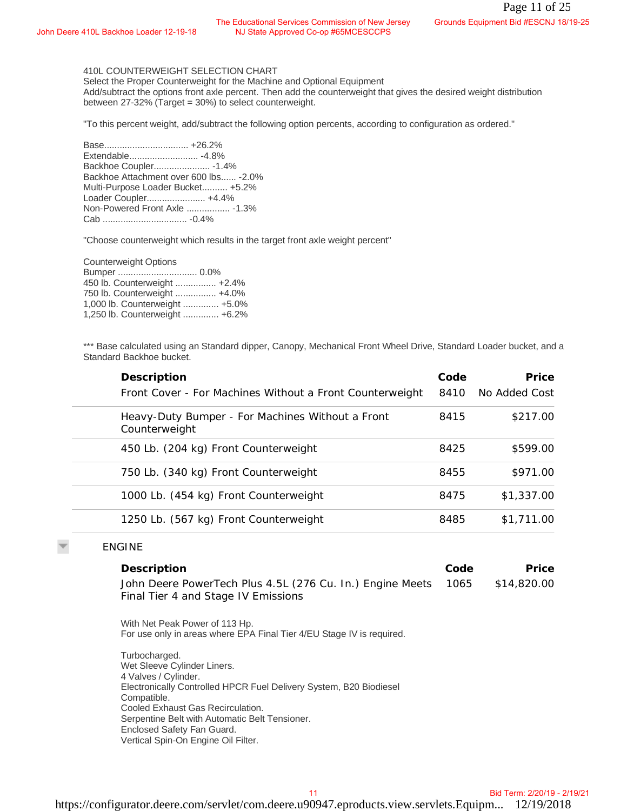#### 410L COUNTERWEIGHT SELECTION CHART

| e 410L Backhoe Loader 12-19-18                                                                                                                                                                | The Educational Services Commission of New Jersey<br>NJ State Approved Co-op #65MCESCCPS                                                                                                     |              | Grounds Equipment Bid #ESCNJ 18/19-25 |
|-----------------------------------------------------------------------------------------------------------------------------------------------------------------------------------------------|----------------------------------------------------------------------------------------------------------------------------------------------------------------------------------------------|--------------|---------------------------------------|
| 410L COUNTERWEIGHT SELECTION CHART<br>between 27-32% (Target = 30%) to select counterweight.                                                                                                  | Select the Proper Counterweight for the Machine and Optional Equipment<br>Add/subtract the options front axle percent. Then add the counterweight that gives the desired weight distribution |              |                                       |
|                                                                                                                                                                                               | "To this percent weight, add/subtract the following option percents, according to configuration as ordered."                                                                                 |              |                                       |
| Backhoe Coupler - 1.4%<br>Backhoe Attachment over 600 lbs - 2.0%<br>Multi-Purpose Loader Bucket +5.2%<br>Loader Coupler +4.4%<br>Non-Powered Front Axle  - 1.3%                               |                                                                                                                                                                                              |              |                                       |
|                                                                                                                                                                                               | "Choose counterweight which results in the target front axle weight percent"                                                                                                                 |              |                                       |
| <b>Counterweight Options</b><br>450 lb. Counterweight  +2.4%<br>750 lb. Counterweight  +4.0%<br>1,000 lb. Counterweight  +5.0%<br>1,250 lb. Counterweight  +6.2%                              |                                                                                                                                                                                              |              |                                       |
| Standard Backhoe bucket.                                                                                                                                                                      | *** Base calculated using an Standard dipper, Canopy, Mechanical Front Wheel Drive, Standard Loader bucket, and a                                                                            |              |                                       |
| Description                                                                                                                                                                                   | Front Cover - For Machines Without a Front Counterweight                                                                                                                                     | Code<br>8410 | Price<br>No Added Cost                |
| Counterweight                                                                                                                                                                                 | Heavy-Duty Bumper - For Machines Without a Front                                                                                                                                             | 8415         | \$217.00                              |
|                                                                                                                                                                                               | 450 Lb. (204 kg) Front Counterweight                                                                                                                                                         | 8425         | \$599.00                              |
|                                                                                                                                                                                               | 750 Lb. (340 kg) Front Counterweight                                                                                                                                                         | 8455         | \$971.00                              |
|                                                                                                                                                                                               | 1000 Lb. (454 kg) Front Counterweight                                                                                                                                                        | 8475         | \$1,337.00                            |
|                                                                                                                                                                                               | 1250 Lb. (567 kg) Front Counterweight                                                                                                                                                        | 8485         | \$1,711.00                            |
| <b>ENGINE</b>                                                                                                                                                                                 |                                                                                                                                                                                              |              |                                       |
| Description                                                                                                                                                                                   |                                                                                                                                                                                              | Code         | Price                                 |
|                                                                                                                                                                                               | John Deere PowerTech Plus 4.5L (276 Cu. In.) Engine Meets<br>Final Tier 4 and Stage IV Emissions                                                                                             | 1065         | \$14,820.00                           |
| With Net Peak Power of 113 Hp.                                                                                                                                                                | For use only in areas where EPA Final Tier 4/EU Stage IV is required.                                                                                                                        |              |                                       |
| Turbocharged.<br>Wet Sleeve Cylinder Liners.<br>4 Valves / Cylinder.<br>Compatible.<br>Cooled Exhaust Gas Recirculation.<br>Enclosed Safety Fan Guard.<br>Vertical Spin-On Engine Oil Filter. | Electronically Controlled HPCR Fuel Delivery System, B20 Biodiesel<br>Serpentine Belt with Automatic Belt Tensioner.                                                                         |              |                                       |
|                                                                                                                                                                                               | 11                                                                                                                                                                                           |              | Bid Term: 2/20/19 - 2/19/21           |

#### ENGINE

| Description                                                                                           | Code | <b>Price</b> |
|-------------------------------------------------------------------------------------------------------|------|--------------|
| John Deere PowerTech Plus 4.5L (276 Cu. In.) Engine Meets 1065<br>Final Tier 4 and Stage IV Emissions |      | \$14,820,00  |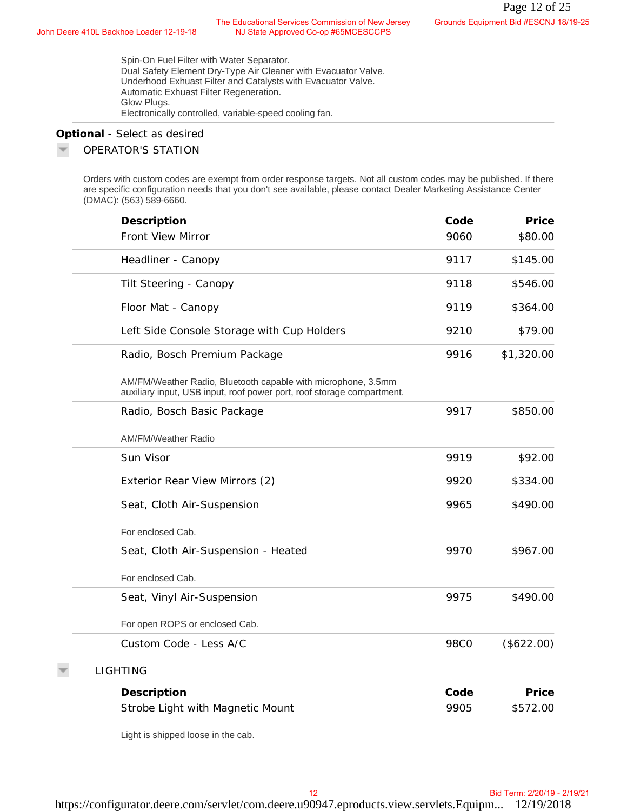#### **Optional** *- Select as desired*

#### OPERATOR'S STATION

| Deere 410L Backhoe Loader 12-19-18 | The Educational Services Commission of New Jersey<br>NJ State Approved Co-op #65MCESCCPS                                                                                                                                                                                        |             | Grounds Equipment Bid #ESCNJ 18/19-25 |
|------------------------------------|---------------------------------------------------------------------------------------------------------------------------------------------------------------------------------------------------------------------------------------------------------------------------------|-------------|---------------------------------------|
| Glow Plugs.                        | Spin-On Fuel Filter with Water Separator.<br>Dual Safety Element Dry-Type Air Cleaner with Evacuator Valve.<br>Underhood Exhuast Filter and Catalysts with Evacuator Valve.<br>Automatic Exhuast Filter Regeneration.<br>Electronically controlled, variable-speed cooling fan. |             |                                       |
| Optional - Select as desired       |                                                                                                                                                                                                                                                                                 |             |                                       |
| OPERATOR'S STATION                 |                                                                                                                                                                                                                                                                                 |             |                                       |
| (DMAC): (563) 589-6660.            | Orders with custom codes are exempt from order response targets. Not all custom codes may be published. If there<br>are specific configuration needs that you don't see available, please contact Dealer Marketing Assistance Center                                            |             |                                       |
| Description                        |                                                                                                                                                                                                                                                                                 | Code        | Price                                 |
| Front View Mirror                  |                                                                                                                                                                                                                                                                                 | 9060        | \$80.00                               |
| Headliner - Canopy                 |                                                                                                                                                                                                                                                                                 | 9117        | \$145.00                              |
| Tilt Steering - Canopy             |                                                                                                                                                                                                                                                                                 | 9118        | \$546.00                              |
| Floor Mat - Canopy                 |                                                                                                                                                                                                                                                                                 | 9119        | \$364.00                              |
|                                    | Left Side Console Storage with Cup Holders                                                                                                                                                                                                                                      | 9210        | \$79.00                               |
|                                    | Radio, Bosch Premium Package                                                                                                                                                                                                                                                    | 9916        | \$1,320.00                            |
|                                    | AM/FM/Weather Radio, Bluetooth capable with microphone, 3.5mm<br>auxiliary input, USB input, roof power port, roof storage compartment.                                                                                                                                         |             |                                       |
|                                    | Radio, Bosch Basic Package                                                                                                                                                                                                                                                      | 9917        | \$850.00                              |
| <b>AM/FM/Weather Radio</b>         |                                                                                                                                                                                                                                                                                 |             |                                       |
| Sun Visor                          |                                                                                                                                                                                                                                                                                 | 9919        | \$92.00                               |
|                                    | Exterior Rear View Mirrors (2)                                                                                                                                                                                                                                                  | 9920        | \$334.00                              |
|                                    | Seat, Cloth Air-Suspension                                                                                                                                                                                                                                                      | 9965        | \$490.00                              |
| For enclosed Cab.                  |                                                                                                                                                                                                                                                                                 |             |                                       |
|                                    | Seat, Cloth Air-Suspension - Heated                                                                                                                                                                                                                                             | 9970        | \$967.00                              |
| For enclosed Cab.                  |                                                                                                                                                                                                                                                                                 |             |                                       |
|                                    | Seat, Vinyl Air-Suspension                                                                                                                                                                                                                                                      | 9975        | \$490.00                              |
|                                    | For open ROPS or enclosed Cab.                                                                                                                                                                                                                                                  |             |                                       |
|                                    | Custom Code - Less A/C                                                                                                                                                                                                                                                          | <b>98CO</b> | (\$622.00)                            |
| <b>LIGHTING</b>                    |                                                                                                                                                                                                                                                                                 |             |                                       |
| Description                        |                                                                                                                                                                                                                                                                                 | Code        | Price                                 |
|                                    | Strobe Light with Magnetic Mount                                                                                                                                                                                                                                                | 9905        | \$572.00                              |
|                                    | Light is shipped loose in the cab.                                                                                                                                                                                                                                              |             |                                       |
|                                    |                                                                                                                                                                                                                                                                                 |             |                                       |
|                                    |                                                                                                                                                                                                                                                                                 |             |                                       |
|                                    | 12                                                                                                                                                                                                                                                                              |             | Bid Term: 2/20/19 - 2/19/21           |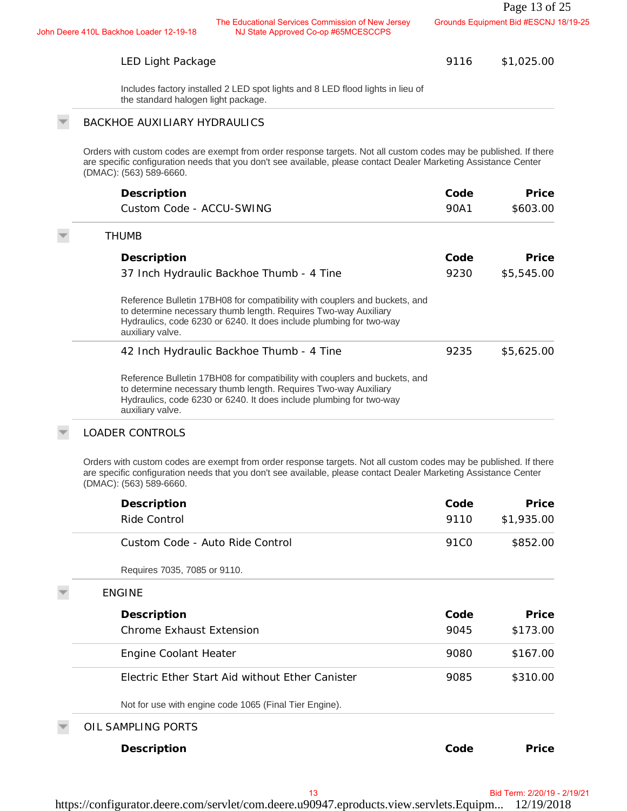## LED Light Package

# BACKHOE AUXILIARY HYDRAULICS

| Description                                                                                                                                                                                                                              | Code | Price      |
|------------------------------------------------------------------------------------------------------------------------------------------------------------------------------------------------------------------------------------------|------|------------|
| Custom Code - ACCU-SWING                                                                                                                                                                                                                 | 90A1 | \$603.00   |
| <b>THUMB</b>                                                                                                                                                                                                                             |      |            |
| Description                                                                                                                                                                                                                              | Code | Price      |
| 37 Inch Hydraulic Backhoe Thumb - 4 Tine                                                                                                                                                                                                 | 9230 | \$5,545.00 |
| Reference Bulletin 17BH08 for compatibility with couplers and buckets, and<br>to determine necessary thumb length. Requires Two-way Auxiliary<br>Hydraulics, code 6230 or 6240. It does include plumbing for two-way<br>auxiliary valve. |      |            |
| 42 Inch Hydraulic Backhoe Thumb - 4 Tine                                                                                                                                                                                                 | 9235 | \$5,625,00 |
| Reference Bulletin 17BH08 for compatibility with couplers and buckets, and<br>to determine necessary thumb length. Requires Two-way Auxiliary<br>Hydraulics, code 6230 or 6240. It does include plumbing for two-way<br>auxiliary valve. |      |            |

### LOADER CONTROLS

| The Educational Services Commission of New Jersey<br>NJ State Approved Co-op #65MCESCCPS<br>Deere 410L Backhoe Loader 12-19-18                                                                                                                                  |                  | Grounds Equipment Bid #ESCNJ 18/19-25 |
|-----------------------------------------------------------------------------------------------------------------------------------------------------------------------------------------------------------------------------------------------------------------|------------------|---------------------------------------|
| LED Light Package                                                                                                                                                                                                                                               | 9116             | \$1,025.00                            |
| Includes factory installed 2 LED spot lights and 8 LED flood lights in lieu of<br>the standard halogen light package.                                                                                                                                           |                  |                                       |
| <b>BACKHOE AUXILIARY HYDRAULICS</b>                                                                                                                                                                                                                             |                  |                                       |
| Orders with custom codes are exempt from order response targets. Not all custom codes may be published. If there<br>are specific configuration needs that you don't see available, please contact Dealer Marketing Assistance Center<br>(DMAC): (563) 589-6660. |                  |                                       |
| Description                                                                                                                                                                                                                                                     | Code             | Price                                 |
| Custom Code - ACCU-SWING                                                                                                                                                                                                                                        | 90A1             | \$603.00                              |
| <b>THUMB</b>                                                                                                                                                                                                                                                    |                  |                                       |
| Description                                                                                                                                                                                                                                                     | Code             | Price                                 |
| 37 Inch Hydraulic Backhoe Thumb - 4 Tine                                                                                                                                                                                                                        | 9230             | \$5,545.00                            |
| Reference Bulletin 17BH08 for compatibility with couplers and buckets, and<br>to determine necessary thumb length. Requires Two-way Auxiliary<br>Hydraulics, code 6230 or 6240. It does include plumbing for two-way<br>auxiliary valve.                        |                  |                                       |
| 42 Inch Hydraulic Backhoe Thumb - 4 Tine                                                                                                                                                                                                                        | 9235             | \$5,625.00                            |
| Reference Bulletin 17BH08 for compatibility with couplers and buckets, and<br>to determine necessary thumb length. Requires Two-way Auxiliary<br>Hydraulics, code 6230 or 6240. It does include plumbing for two-way<br>auxiliary valve.                        |                  |                                       |
| <b>LOADER CONTROLS</b>                                                                                                                                                                                                                                          |                  |                                       |
| Orders with custom codes are exempt from order response targets. Not all custom codes may be published. If there<br>are specific configuration needs that you don't see available, please contact Dealer Marketing Assistance Center<br>(DMAC): (563) 589-6660. |                  |                                       |
| Description                                                                                                                                                                                                                                                     | Code             | Price                                 |
| Ride Control                                                                                                                                                                                                                                                    | 9110             | \$1,935.00                            |
| Custom Code - Auto Ride Control                                                                                                                                                                                                                                 | 91C <sub>0</sub> | \$852.00                              |
| Requires 7035, 7085 or 9110.                                                                                                                                                                                                                                    |                  |                                       |
| <b>ENGINE</b>                                                                                                                                                                                                                                                   |                  |                                       |
| Description                                                                                                                                                                                                                                                     | Code             | Price                                 |
| Chrome Exhaust Extension                                                                                                                                                                                                                                        | 9045             | \$173.00                              |
| Engine Coolant Heater                                                                                                                                                                                                                                           | 9080             | \$167.00                              |
| Electric Ether Start Aid without Ether Canister                                                                                                                                                                                                                 | 9085             | \$310.00                              |
| Not for use with engine code 1065 (Final Tier Engine).                                                                                                                                                                                                          |                  |                                       |
| OIL SAMPLING PORTS                                                                                                                                                                                                                                              |                  |                                       |
| Description                                                                                                                                                                                                                                                     | Code             | Price                                 |
|                                                                                                                                                                                                                                                                 |                  |                                       |
| 13                                                                                                                                                                                                                                                              |                  | Bid Term: 2/20/19 - 2/19/21           |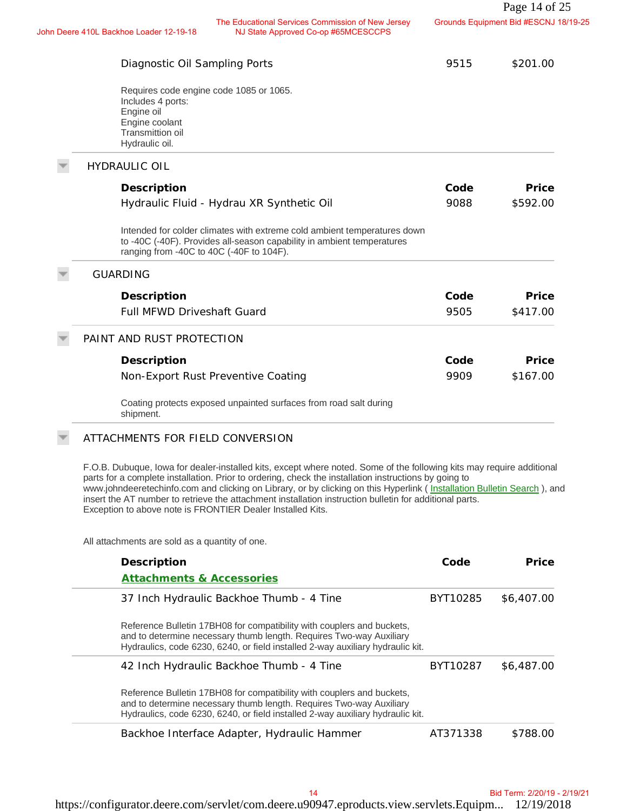| The Educational Services Commission of New Jersey<br>NJ State Approved Co-op #65MCESCCPS<br>hn Deere 410L Backhoe Loader 12-19-18                                                                                                                                                                                                                                                                                                                                                                                                  |          | Grounds Equipment Bid #ESCNJ 18/19-25 |
|------------------------------------------------------------------------------------------------------------------------------------------------------------------------------------------------------------------------------------------------------------------------------------------------------------------------------------------------------------------------------------------------------------------------------------------------------------------------------------------------------------------------------------|----------|---------------------------------------|
| Diagnostic Oil Sampling Ports                                                                                                                                                                                                                                                                                                                                                                                                                                                                                                      | 9515     | \$201.00                              |
| Requires code engine code 1085 or 1065.<br>Includes 4 ports:<br>Engine oil<br>Engine coolant<br>Transmittion oil<br>Hydraulic oil.                                                                                                                                                                                                                                                                                                                                                                                                 |          |                                       |
| <b>HYDRAULIC OIL</b>                                                                                                                                                                                                                                                                                                                                                                                                                                                                                                               |          |                                       |
| Description                                                                                                                                                                                                                                                                                                                                                                                                                                                                                                                        | Code     | Price                                 |
| Hydraulic Fluid - Hydrau XR Synthetic Oil                                                                                                                                                                                                                                                                                                                                                                                                                                                                                          | 9088     | \$592.00                              |
| Intended for colder climates with extreme cold ambient temperatures down<br>to -40C (-40F). Provides all-season capability in ambient temperatures<br>ranging from -40C to 40C (-40F to 104F).                                                                                                                                                                                                                                                                                                                                     |          |                                       |
| <b>GUARDING</b>                                                                                                                                                                                                                                                                                                                                                                                                                                                                                                                    |          |                                       |
| Description                                                                                                                                                                                                                                                                                                                                                                                                                                                                                                                        | Code     | Price                                 |
| <b>Full MFWD Driveshaft Guard</b>                                                                                                                                                                                                                                                                                                                                                                                                                                                                                                  | 9505     | \$417.00                              |
| PAINT AND RUST PROTECTION                                                                                                                                                                                                                                                                                                                                                                                                                                                                                                          |          |                                       |
| Description                                                                                                                                                                                                                                                                                                                                                                                                                                                                                                                        | Code     | Price                                 |
| Non-Export Rust Preventive Coating                                                                                                                                                                                                                                                                                                                                                                                                                                                                                                 | 9909     | \$167.00                              |
| Coating protects exposed unpainted surfaces from road salt during<br>shipment.                                                                                                                                                                                                                                                                                                                                                                                                                                                     |          |                                       |
| ATTACHMENTS FOR FIELD CONVERSION                                                                                                                                                                                                                                                                                                                                                                                                                                                                                                   |          |                                       |
| F.O.B. Dubuque, lowa for dealer-installed kits, except where noted. Some of the following kits may require additional<br>parts for a complete installation. Prior to ordering, check the installation instructions by going to<br>www.johndeeretechinfo.com and clicking on Library, or by clicking on this Hyperlink (Installation Bulletin Search), and<br>insert the AT number to retrieve the attachment installation instruction bulletin for additional parts.<br>Exception to above note is FRONTIER Dealer Installed Kits. |          |                                       |
| All attachments are sold as a quantity of one.                                                                                                                                                                                                                                                                                                                                                                                                                                                                                     |          |                                       |
| Description                                                                                                                                                                                                                                                                                                                                                                                                                                                                                                                        | Code     | Price                                 |
| <b>Attachments &amp; Accessories</b>                                                                                                                                                                                                                                                                                                                                                                                                                                                                                               |          |                                       |
| 37 Inch Hydraulic Backhoe Thumb - 4 Tine                                                                                                                                                                                                                                                                                                                                                                                                                                                                                           | BYT10285 | \$6,407.00                            |
| Reference Bulletin 17BH08 for compatibility with couplers and buckets,<br>and to determine necessary thumb length. Requires Two-way Auxiliary<br>Hydraulics, code 6230, 6240, or field installed 2-way auxiliary hydraulic kit.                                                                                                                                                                                                                                                                                                    |          |                                       |
| 42 Inch Hydraulic Backhoe Thumb - 4 Tine                                                                                                                                                                                                                                                                                                                                                                                                                                                                                           | BYT10287 | \$6,487.00                            |
| Reference Bulletin 17BH08 for compatibility with couplers and buckets,<br>and to determine necessary thumb length. Requires Two-way Auxiliary<br>Hydraulics, code 6230, 6240, or field installed 2-way auxiliary hydraulic kit.                                                                                                                                                                                                                                                                                                    |          |                                       |
| Backhoe Interface Adapter, Hydraulic Hammer                                                                                                                                                                                                                                                                                                                                                                                                                                                                                        | AT371338 | \$788.00                              |
|                                                                                                                                                                                                                                                                                                                                                                                                                                                                                                                                    |          |                                       |
|                                                                                                                                                                                                                                                                                                                                                                                                                                                                                                                                    |          |                                       |
| 14                                                                                                                                                                                                                                                                                                                                                                                                                                                                                                                                 |          | Bid Term: 2/20/19 - 2/19/21           |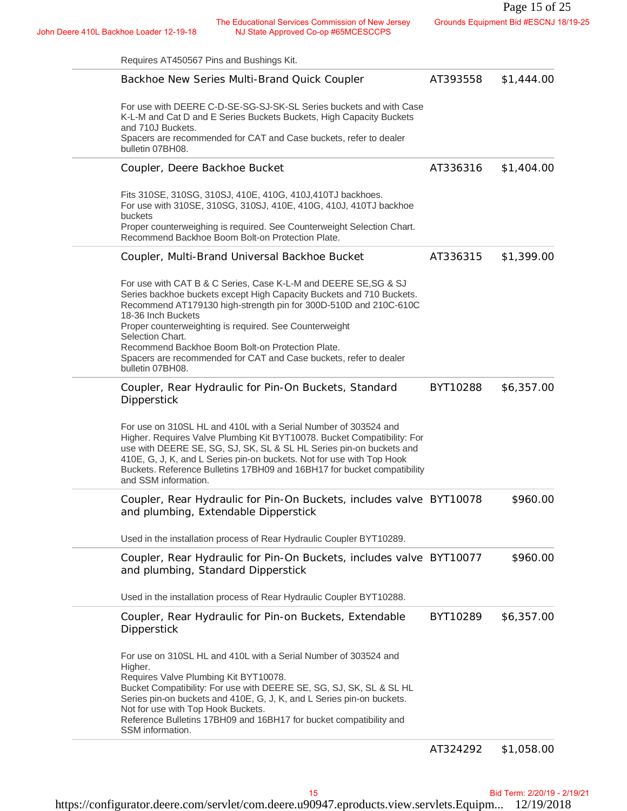John Deere 410L Backhoe Loader 12-19-18<br>NJ State Approved Co-op #65MCESCCPS NJ State Approved Co-op #65MCESCCPS

| The Educational Services Commission of New Jersey<br>NJ State Approved Co-op #65MCESCCPS<br>nn Deere 410L Backhoe Loader 12-19-18                                                                                                                                                                                                                                                                                                                            | Grounds Equipment Bid #ESCNJ 18/19-25 |            |  |
|--------------------------------------------------------------------------------------------------------------------------------------------------------------------------------------------------------------------------------------------------------------------------------------------------------------------------------------------------------------------------------------------------------------------------------------------------------------|---------------------------------------|------------|--|
| Requires AT450567 Pins and Bushings Kit.                                                                                                                                                                                                                                                                                                                                                                                                                     |                                       |            |  |
| Backhoe New Series Multi-Brand Quick Coupler                                                                                                                                                                                                                                                                                                                                                                                                                 | AT393558                              | \$1,444.00 |  |
| For use with DEERE C-D-SE-SG-SJ-SK-SL Series buckets and with Case<br>K-L-M and Cat D and E Series Buckets Buckets, High Capacity Buckets<br>and 710J Buckets.<br>Spacers are recommended for CAT and Case buckets, refer to dealer<br>bulletin 07BH08.                                                                                                                                                                                                      |                                       |            |  |
| Coupler, Deere Backhoe Bucket                                                                                                                                                                                                                                                                                                                                                                                                                                | AT336316                              | \$1,404.00 |  |
| Fits 310SE, 310SG, 310SJ, 410E, 410G, 410J, 410TJ backhoes.<br>For use with 310SE, 310SG, 310SJ, 410E, 410G, 410J, 410TJ backhoe<br>buckets<br>Proper counterweighing is required. See Counterweight Selection Chart.                                                                                                                                                                                                                                        |                                       |            |  |
| Recommend Backhoe Boom Bolt-on Protection Plate.                                                                                                                                                                                                                                                                                                                                                                                                             |                                       |            |  |
| Coupler, Multi-Brand Universal Backhoe Bucket                                                                                                                                                                                                                                                                                                                                                                                                                | AT336315                              | \$1,399.00 |  |
| For use with CAT B & C Series, Case K-L-M and DEERE SE, SG & SJ<br>Series backhoe buckets except High Capacity Buckets and 710 Buckets.<br>Recommend AT179130 high-strength pin for 300D-510D and 210C-610C<br>18-36 Inch Buckets<br>Proper counterweighting is required. See Counterweight<br>Selection Chart.<br>Recommend Backhoe Boom Bolt-on Protection Plate.<br>Spacers are recommended for CAT and Case buckets, refer to dealer<br>bulletin 07BH08. |                                       |            |  |
| Coupler, Rear Hydraulic for Pin-On Buckets, Standard<br>Dipperstick                                                                                                                                                                                                                                                                                                                                                                                          | BYT10288                              | \$6,357.00 |  |
| For use on 310SL HL and 410L with a Serial Number of 303524 and<br>Higher. Requires Valve Plumbing Kit BYT10078. Bucket Compatibility: For<br>use with DEERE SE, SG, SJ, SK, SL & SL HL Series pin-on buckets and<br>410E, G, J, K, and L Series pin-on buckets. Not for use with Top Hook<br>Buckets. Reference Bulletins 17BH09 and 16BH17 for bucket compatibility<br>and SSM information.                                                                |                                       |            |  |
| Coupler, Rear Hydraulic for Pin-On Buckets, includes valve BYT10078<br>and plumbing, Extendable Dipperstick                                                                                                                                                                                                                                                                                                                                                  |                                       | \$960.00   |  |
| Used in the installation process of Rear Hydraulic Coupler BYT10289.                                                                                                                                                                                                                                                                                                                                                                                         |                                       |            |  |
| Coupler, Rear Hydraulic for Pin-On Buckets, includes valve BYT10077<br>and plumbing, Standard Dipperstick                                                                                                                                                                                                                                                                                                                                                    |                                       | \$960.00   |  |
| Used in the installation process of Rear Hydraulic Coupler BYT10288.                                                                                                                                                                                                                                                                                                                                                                                         |                                       |            |  |
| Coupler, Rear Hydraulic for Pin-on Buckets, Extendable<br>Dipperstick                                                                                                                                                                                                                                                                                                                                                                                        | BYT10289                              | \$6,357.00 |  |
| For use on 310SL HL and 410L with a Serial Number of 303524 and<br>Higher.<br>Requires Valve Plumbing Kit BYT10078.<br>Bucket Compatibility: For use with DEERE SE, SG, SJ, SK, SL & SL HL<br>Series pin-on buckets and 410E, G, J, K, and L Series pin-on buckets.<br>Not for use with Top Hook Buckets.<br>Reference Bulletins 17BH09 and 16BH17 for bucket compatibility and                                                                              |                                       |            |  |
| SSM information.                                                                                                                                                                                                                                                                                                                                                                                                                                             |                                       |            |  |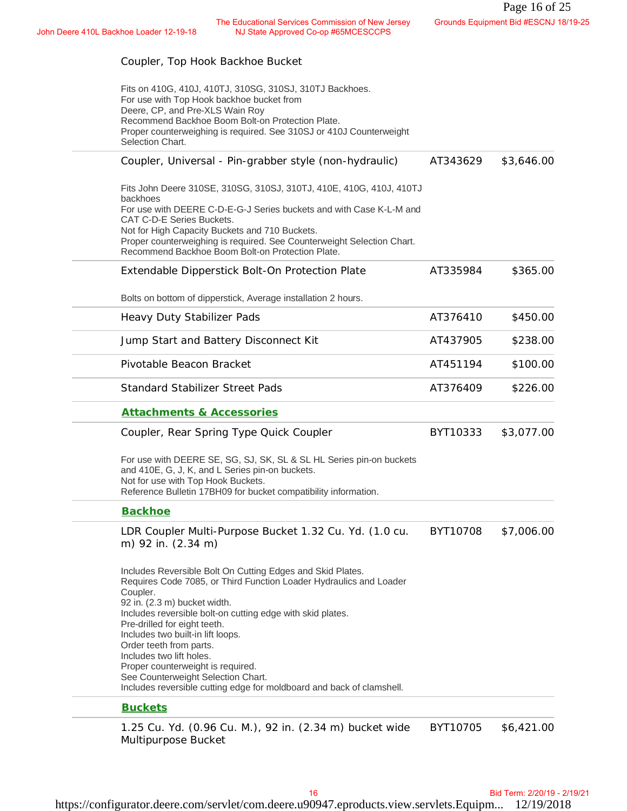## Coupler, Top Hook Backhoe Bucket

| The Educational Services Commission of New Jersey<br>NJ State Approved Co-op #65MCESCCPS<br>re 410L Backhoe Loader 12-19-18                                                                                                                                                                                                                                                                                                                                                                                                |          | Grounds Equipment Bid #ESCNJ 18/19-25 |
|----------------------------------------------------------------------------------------------------------------------------------------------------------------------------------------------------------------------------------------------------------------------------------------------------------------------------------------------------------------------------------------------------------------------------------------------------------------------------------------------------------------------------|----------|---------------------------------------|
| Coupler, Top Hook Backhoe Bucket                                                                                                                                                                                                                                                                                                                                                                                                                                                                                           |          |                                       |
| Fits on 410G, 410J, 410TJ, 310SG, 310SJ, 310TJ Backhoes.<br>For use with Top Hook backhoe bucket from<br>Deere, CP, and Pre-XLS Wain Roy<br>Recommend Backhoe Boom Bolt-on Protection Plate.<br>Proper counterweighing is required. See 310SJ or 410J Counterweight<br>Selection Chart.                                                                                                                                                                                                                                    |          |                                       |
| Coupler, Universal - Pin-grabber style (non-hydraulic)                                                                                                                                                                                                                                                                                                                                                                                                                                                                     | AT343629 | \$3,646.00                            |
| Fits John Deere 310SE, 310SG, 310SJ, 310TJ, 410E, 410G, 410J, 410TJ<br>backhoes<br>For use with DEERE C-D-E-G-J Series buckets and with Case K-L-M and<br>CAT C-D-E Series Buckets.<br>Not for High Capacity Buckets and 710 Buckets.<br>Proper counterweighing is required. See Counterweight Selection Chart.<br>Recommend Backhoe Boom Bolt-on Protection Plate.                                                                                                                                                        |          |                                       |
| Extendable Dipperstick Bolt-On Protection Plate                                                                                                                                                                                                                                                                                                                                                                                                                                                                            | AT335984 | \$365.00                              |
| Bolts on bottom of dipperstick, Average installation 2 hours.                                                                                                                                                                                                                                                                                                                                                                                                                                                              |          |                                       |
| Heavy Duty Stabilizer Pads                                                                                                                                                                                                                                                                                                                                                                                                                                                                                                 | AT376410 | \$450.00                              |
| Jump Start and Battery Disconnect Kit                                                                                                                                                                                                                                                                                                                                                                                                                                                                                      | AT437905 | \$238.00                              |
| Pivotable Beacon Bracket                                                                                                                                                                                                                                                                                                                                                                                                                                                                                                   | AT451194 | \$100.00                              |
| <b>Standard Stabilizer Street Pads</b>                                                                                                                                                                                                                                                                                                                                                                                                                                                                                     | AT376409 | \$226.00                              |
| <b>Attachments &amp; Accessories</b>                                                                                                                                                                                                                                                                                                                                                                                                                                                                                       |          |                                       |
| Coupler, Rear Spring Type Quick Coupler                                                                                                                                                                                                                                                                                                                                                                                                                                                                                    | BYT10333 | \$3,077.00                            |
| For use with DEERE SE, SG, SJ, SK, SL & SL HL Series pin-on buckets<br>and 410E, G, J, K, and L Series pin-on buckets.<br>Not for use with Top Hook Buckets.<br>Reference Bulletin 17BH09 for bucket compatibility information.                                                                                                                                                                                                                                                                                            |          |                                       |
| <b>Backhoe</b>                                                                                                                                                                                                                                                                                                                                                                                                                                                                                                             |          |                                       |
| LDR Coupler Multi-Purpose Bucket 1.32 Cu. Yd. (1.0 cu.<br>m) 92 in. (2.34 m)                                                                                                                                                                                                                                                                                                                                                                                                                                               | BYT10708 | \$7,006.00                            |
| Includes Reversible Bolt On Cutting Edges and Skid Plates.<br>Requires Code 7085, or Third Function Loader Hydraulics and Loader<br>Coupler.<br>92 in. (2.3 m) bucket width.<br>Includes reversible bolt-on cutting edge with skid plates.<br>Pre-drilled for eight teeth.<br>Includes two built-in lift loops.<br>Order teeth from parts.<br>Includes two lift holes.<br>Proper counterweight is required.<br>See Counterweight Selection Chart.<br>Includes reversible cutting edge for moldboard and back of clamshell. |          |                                       |
| <b>Buckets</b>                                                                                                                                                                                                                                                                                                                                                                                                                                                                                                             |          |                                       |
| 1.25 Cu. Yd. (0.96 Cu. M.), 92 in. (2.34 m) bucket wide<br>Multipurpose Bucket                                                                                                                                                                                                                                                                                                                                                                                                                                             | BYT10705 | \$6,421.00                            |
|                                                                                                                                                                                                                                                                                                                                                                                                                                                                                                                            |          |                                       |
| 16                                                                                                                                                                                                                                                                                                                                                                                                                                                                                                                         |          | Bid Term: 2/20/19 - 2/19/21           |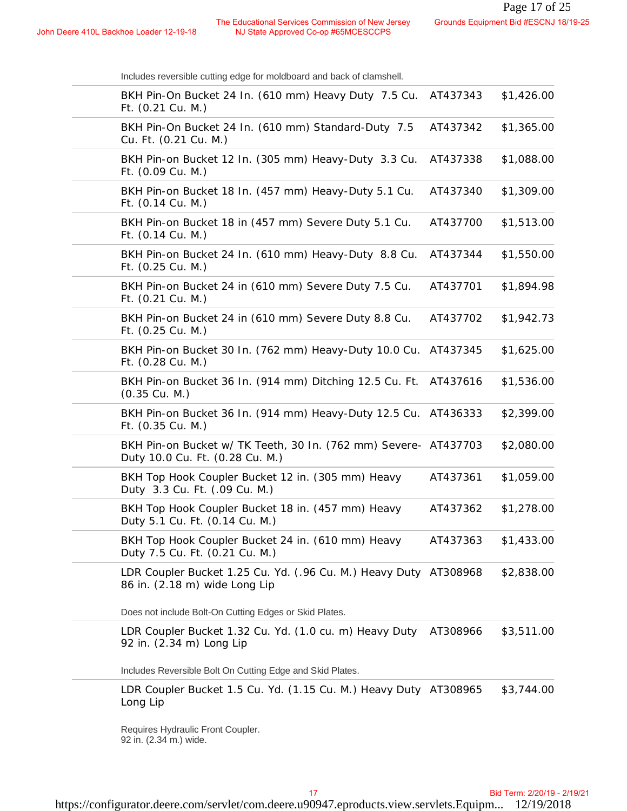| Includes reversible cutting edge for moldboard and back of clamshell. |
|-----------------------------------------------------------------------|
|-----------------------------------------------------------------------|

| e 410L Backhoe Loader 12-19-18                                                                     | The Educational Services Commission of New Jersey | NJ State Approved Co-op #65MCESCCPS |  |          | Grounds Equipment Bid #ESCNJ 18/19-25 |  |
|----------------------------------------------------------------------------------------------------|---------------------------------------------------|-------------------------------------|--|----------|---------------------------------------|--|
| Includes reversible cutting edge for moldboard and back of clamshell.                              |                                                   |                                     |  |          |                                       |  |
| BKH Pin-On Bucket 24 In. (610 mm) Heavy Duty 7.5 Cu.<br>Ft. (0.21 Cu. M.)                          |                                                   |                                     |  | AT437343 | \$1,426.00                            |  |
| BKH Pin-On Bucket 24 In. (610 mm) Standard-Duty 7.5<br>Cu. Ft. (0.21 Cu. M.)                       |                                                   |                                     |  | AT437342 | \$1,365.00                            |  |
| BKH Pin-on Bucket 12 In. (305 mm) Heavy-Duty 3.3 Cu.<br>Ft. (0.09 Cu. M.)                          |                                                   |                                     |  | AT437338 | \$1,088.00                            |  |
| BKH Pin-on Bucket 18 In. (457 mm) Heavy-Duty 5.1 Cu.<br>Ft. (0.14 Cu. M.)                          |                                                   |                                     |  | AT437340 | \$1,309.00                            |  |
| BKH Pin-on Bucket 18 in (457 mm) Severe Duty 5.1 Cu.<br>Ft. (0.14 Cu. M.)                          |                                                   |                                     |  | AT437700 | \$1,513.00                            |  |
| BKH Pin-on Bucket 24 In. (610 mm) Heavy-Duty 8.8 Cu.<br>Ft. (0.25 Cu. M.)                          |                                                   |                                     |  | AT437344 | \$1,550.00                            |  |
| BKH Pin-on Bucket 24 in (610 mm) Severe Duty 7.5 Cu.<br>Ft. (0.21 Cu. M.)                          |                                                   |                                     |  | AT437701 | \$1,894.98                            |  |
| BKH Pin-on Bucket 24 in (610 mm) Severe Duty 8.8 Cu.<br>Ft. (0.25 Cu. M.)                          |                                                   |                                     |  | AT437702 | \$1,942.73                            |  |
| BKH Pin-on Bucket 30 In. (762 mm) Heavy-Duty 10.0 Cu. AT437345<br>Ft. (0.28 Cu. M.)                |                                                   |                                     |  |          | \$1,625.00                            |  |
| BKH Pin-on Bucket 36 In. (914 mm) Ditching 12.5 Cu. Ft.<br>$(0.35 \text{ Cu. M.})$                 |                                                   |                                     |  | AT437616 | \$1,536.00                            |  |
| BKH Pin-on Bucket 36 In. (914 mm) Heavy-Duty 12.5 Cu. AT436333<br>Ft. (0.35 Cu. M.)                |                                                   |                                     |  |          | \$2,399.00                            |  |
| BKH Pin-on Bucket w/ TK Teeth, 30 In. (762 mm) Severe- AT437703<br>Duty 10.0 Cu. Ft. (0.28 Cu. M.) |                                                   |                                     |  |          | \$2,080.00                            |  |
| BKH Top Hook Coupler Bucket 12 in. (305 mm) Heavy<br>Duty 3.3 Cu. Ft. (.09 Cu. M.)                 |                                                   |                                     |  | AT437361 | \$1,059.00                            |  |
| BKH Top Hook Coupler Bucket 18 in. (457 mm) Heavy<br>Duty 5.1 Cu. Ft. (0.14 Cu. M.)                |                                                   |                                     |  | AT437362 | \$1,278.00                            |  |
| BKH Top Hook Coupler Bucket 24 in. (610 mm) Heavy<br>Duty 7.5 Cu. Ft. (0.21 Cu. M.)                |                                                   |                                     |  | AT437363 | \$1,433.00                            |  |
| LDR Coupler Bucket 1.25 Cu. Yd. (.96 Cu. M.) Heavy Duty AT308968<br>86 in. (2.18 m) wide Long Lip  |                                                   |                                     |  |          | \$2,838.00                            |  |
| Does not include Bolt-On Cutting Edges or Skid Plates.                                             |                                                   |                                     |  |          |                                       |  |
| LDR Coupler Bucket 1.32 Cu. Yd. (1.0 cu. m) Heavy Duty<br>92 in. (2.34 m) Long Lip                 |                                                   |                                     |  | AT308966 | \$3,511.00                            |  |
| Includes Reversible Bolt On Cutting Edge and Skid Plates.                                          |                                                   |                                     |  |          |                                       |  |
| LDR Coupler Bucket 1.5 Cu. Yd. (1.15 Cu. M.) Heavy Duty AT308965<br>Long Lip                       |                                                   |                                     |  |          | \$3,744.00                            |  |
| Requires Hydraulic Front Coupler.<br>92 in. (2.34 m.) wide.                                        |                                                   |                                     |  |          |                                       |  |
|                                                                                                    |                                                   | 17                                  |  |          | Bid Term: 2/20/19 - 2/19/21           |  |
|                                                                                                    |                                                   |                                     |  |          |                                       |  |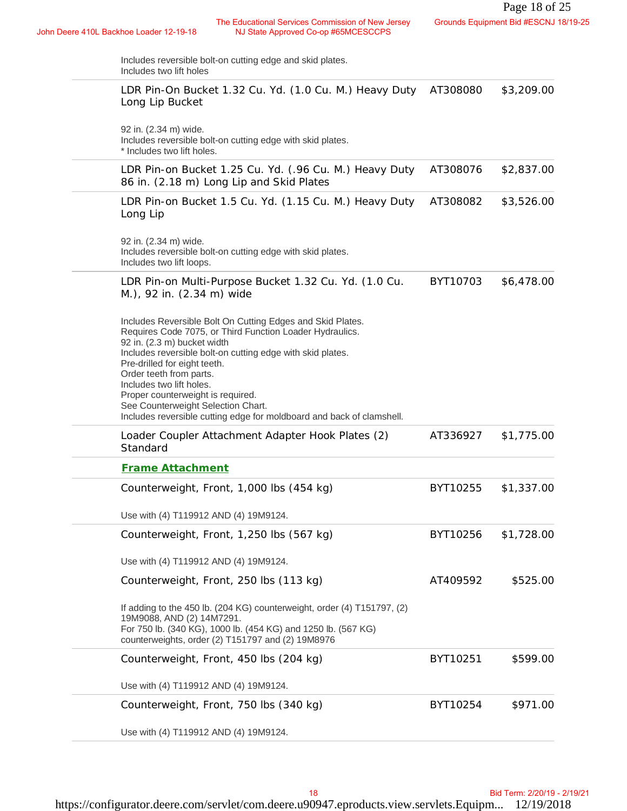| Includes reversible bolt-on cutting edge and skid plates.<br>Includes two lift holes<br>LDR Pin-On Bucket 1.32 Cu. Yd. (1.0 Cu. M.) Heavy Duty<br>AT308080<br>Long Lip Bucket<br>92 in. (2.34 m) wide.<br>Includes reversible bolt-on cutting edge with skid plates.<br>* Includes two lift holes.<br>LDR Pin-on Bucket 1.25 Cu. Yd. (.96 Cu. M.) Heavy Duty<br>AT308076<br>86 in. (2.18 m) Long Lip and Skid Plates<br>LDR Pin-on Bucket 1.5 Cu. Yd. (1.15 Cu. M.) Heavy Duty<br>AT308082<br>Long Lip<br>92 in. (2.34 m) wide.<br>Includes reversible bolt-on cutting edge with skid plates.<br>Includes two lift loops.<br>LDR Pin-on Multi-Purpose Bucket 1.32 Cu. Yd. (1.0 Cu.<br>BYT10703<br>M.), 92 in. (2.34 m) wide<br>Includes Reversible Bolt On Cutting Edges and Skid Plates.<br>Requires Code 7075, or Third Function Loader Hydraulics.<br>92 in. (2.3 m) bucket width<br>Includes reversible bolt-on cutting edge with skid plates.<br>Pre-drilled for eight teeth.<br>Order teeth from parts.<br>Includes two lift holes.<br>Proper counterweight is required.<br>See Counterweight Selection Chart.<br>Includes reversible cutting edge for moldboard and back of clamshell.<br>Loader Coupler Attachment Adapter Hook Plates (2)<br>AT336927<br>Standard<br><b>Frame Attachment</b><br>Counterweight, Front, 1,000 lbs (454 kg)<br>BYT10255<br>Use with (4) T119912 AND (4) 19M9124.<br>Counterweight, Front, 1,250 lbs (567 kg)<br>BYT10256<br>Use with (4) T119912 AND (4) 19M9124.<br>AT409592<br>Counterweight, Front, 250 lbs (113 kg)<br>If adding to the 450 lb. (204 KG) counterweight, order (4) T151797, (2)<br>19M9088, AND (2) 14M7291.<br>For 750 lb. (340 KG), 1000 lb. (454 KG) and 1250 lb. (567 KG)<br>counterweights, order (2) T151797 and (2) 19M8976<br>Counterweight, Front, 450 lbs (204 kg)<br>BYT10251<br>Use with (4) T119912 AND (4) 19M9124.<br>BYT10254<br>Counterweight, Front, 750 lbs (340 kg) | ere 410L Backhoe Loader 12-19-18 | The Educational Services Commission of New Jersey<br>NJ State Approved Co-op #65MCESCCPS |  | Grounds Equipment Bid #ESCNJ 18/19-25 |
|--------------------------------------------------------------------------------------------------------------------------------------------------------------------------------------------------------------------------------------------------------------------------------------------------------------------------------------------------------------------------------------------------------------------------------------------------------------------------------------------------------------------------------------------------------------------------------------------------------------------------------------------------------------------------------------------------------------------------------------------------------------------------------------------------------------------------------------------------------------------------------------------------------------------------------------------------------------------------------------------------------------------------------------------------------------------------------------------------------------------------------------------------------------------------------------------------------------------------------------------------------------------------------------------------------------------------------------------------------------------------------------------------------------------------------------------------------------------------------------------------------------------------------------------------------------------------------------------------------------------------------------------------------------------------------------------------------------------------------------------------------------------------------------------------------------------------------------------------------------------------------------------------------------------------------------------------|----------------------------------|------------------------------------------------------------------------------------------|--|---------------------------------------|
|                                                                                                                                                                                                                                                                                                                                                                                                                                                                                                                                                                                                                                                                                                                                                                                                                                                                                                                                                                                                                                                                                                                                                                                                                                                                                                                                                                                                                                                                                                                                                                                                                                                                                                                                                                                                                                                                                                                                                  |                                  |                                                                                          |  |                                       |
|                                                                                                                                                                                                                                                                                                                                                                                                                                                                                                                                                                                                                                                                                                                                                                                                                                                                                                                                                                                                                                                                                                                                                                                                                                                                                                                                                                                                                                                                                                                                                                                                                                                                                                                                                                                                                                                                                                                                                  |                                  |                                                                                          |  | \$3,209.00                            |
|                                                                                                                                                                                                                                                                                                                                                                                                                                                                                                                                                                                                                                                                                                                                                                                                                                                                                                                                                                                                                                                                                                                                                                                                                                                                                                                                                                                                                                                                                                                                                                                                                                                                                                                                                                                                                                                                                                                                                  |                                  |                                                                                          |  |                                       |
|                                                                                                                                                                                                                                                                                                                                                                                                                                                                                                                                                                                                                                                                                                                                                                                                                                                                                                                                                                                                                                                                                                                                                                                                                                                                                                                                                                                                                                                                                                                                                                                                                                                                                                                                                                                                                                                                                                                                                  |                                  |                                                                                          |  | \$2,837.00                            |
|                                                                                                                                                                                                                                                                                                                                                                                                                                                                                                                                                                                                                                                                                                                                                                                                                                                                                                                                                                                                                                                                                                                                                                                                                                                                                                                                                                                                                                                                                                                                                                                                                                                                                                                                                                                                                                                                                                                                                  |                                  |                                                                                          |  | \$3,526.00                            |
|                                                                                                                                                                                                                                                                                                                                                                                                                                                                                                                                                                                                                                                                                                                                                                                                                                                                                                                                                                                                                                                                                                                                                                                                                                                                                                                                                                                                                                                                                                                                                                                                                                                                                                                                                                                                                                                                                                                                                  |                                  |                                                                                          |  |                                       |
|                                                                                                                                                                                                                                                                                                                                                                                                                                                                                                                                                                                                                                                                                                                                                                                                                                                                                                                                                                                                                                                                                                                                                                                                                                                                                                                                                                                                                                                                                                                                                                                                                                                                                                                                                                                                                                                                                                                                                  |                                  |                                                                                          |  | \$6,478.00                            |
|                                                                                                                                                                                                                                                                                                                                                                                                                                                                                                                                                                                                                                                                                                                                                                                                                                                                                                                                                                                                                                                                                                                                                                                                                                                                                                                                                                                                                                                                                                                                                                                                                                                                                                                                                                                                                                                                                                                                                  |                                  |                                                                                          |  |                                       |
|                                                                                                                                                                                                                                                                                                                                                                                                                                                                                                                                                                                                                                                                                                                                                                                                                                                                                                                                                                                                                                                                                                                                                                                                                                                                                                                                                                                                                                                                                                                                                                                                                                                                                                                                                                                                                                                                                                                                                  |                                  |                                                                                          |  | \$1,775.00                            |
|                                                                                                                                                                                                                                                                                                                                                                                                                                                                                                                                                                                                                                                                                                                                                                                                                                                                                                                                                                                                                                                                                                                                                                                                                                                                                                                                                                                                                                                                                                                                                                                                                                                                                                                                                                                                                                                                                                                                                  |                                  |                                                                                          |  |                                       |
|                                                                                                                                                                                                                                                                                                                                                                                                                                                                                                                                                                                                                                                                                                                                                                                                                                                                                                                                                                                                                                                                                                                                                                                                                                                                                                                                                                                                                                                                                                                                                                                                                                                                                                                                                                                                                                                                                                                                                  |                                  |                                                                                          |  | \$1,337.00                            |
|                                                                                                                                                                                                                                                                                                                                                                                                                                                                                                                                                                                                                                                                                                                                                                                                                                                                                                                                                                                                                                                                                                                                                                                                                                                                                                                                                                                                                                                                                                                                                                                                                                                                                                                                                                                                                                                                                                                                                  |                                  |                                                                                          |  |                                       |
|                                                                                                                                                                                                                                                                                                                                                                                                                                                                                                                                                                                                                                                                                                                                                                                                                                                                                                                                                                                                                                                                                                                                                                                                                                                                                                                                                                                                                                                                                                                                                                                                                                                                                                                                                                                                                                                                                                                                                  |                                  |                                                                                          |  | \$1,728.00                            |
|                                                                                                                                                                                                                                                                                                                                                                                                                                                                                                                                                                                                                                                                                                                                                                                                                                                                                                                                                                                                                                                                                                                                                                                                                                                                                                                                                                                                                                                                                                                                                                                                                                                                                                                                                                                                                                                                                                                                                  |                                  |                                                                                          |  |                                       |
|                                                                                                                                                                                                                                                                                                                                                                                                                                                                                                                                                                                                                                                                                                                                                                                                                                                                                                                                                                                                                                                                                                                                                                                                                                                                                                                                                                                                                                                                                                                                                                                                                                                                                                                                                                                                                                                                                                                                                  |                                  |                                                                                          |  | \$525.00                              |
|                                                                                                                                                                                                                                                                                                                                                                                                                                                                                                                                                                                                                                                                                                                                                                                                                                                                                                                                                                                                                                                                                                                                                                                                                                                                                                                                                                                                                                                                                                                                                                                                                                                                                                                                                                                                                                                                                                                                                  |                                  |                                                                                          |  |                                       |
|                                                                                                                                                                                                                                                                                                                                                                                                                                                                                                                                                                                                                                                                                                                                                                                                                                                                                                                                                                                                                                                                                                                                                                                                                                                                                                                                                                                                                                                                                                                                                                                                                                                                                                                                                                                                                                                                                                                                                  |                                  |                                                                                          |  | \$599.00                              |
|                                                                                                                                                                                                                                                                                                                                                                                                                                                                                                                                                                                                                                                                                                                                                                                                                                                                                                                                                                                                                                                                                                                                                                                                                                                                                                                                                                                                                                                                                                                                                                                                                                                                                                                                                                                                                                                                                                                                                  |                                  |                                                                                          |  |                                       |
|                                                                                                                                                                                                                                                                                                                                                                                                                                                                                                                                                                                                                                                                                                                                                                                                                                                                                                                                                                                                                                                                                                                                                                                                                                                                                                                                                                                                                                                                                                                                                                                                                                                                                                                                                                                                                                                                                                                                                  |                                  |                                                                                          |  | \$971.00                              |
| Use with (4) T119912 AND (4) 19M9124.                                                                                                                                                                                                                                                                                                                                                                                                                                                                                                                                                                                                                                                                                                                                                                                                                                                                                                                                                                                                                                                                                                                                                                                                                                                                                                                                                                                                                                                                                                                                                                                                                                                                                                                                                                                                                                                                                                            |                                  |                                                                                          |  |                                       |
|                                                                                                                                                                                                                                                                                                                                                                                                                                                                                                                                                                                                                                                                                                                                                                                                                                                                                                                                                                                                                                                                                                                                                                                                                                                                                                                                                                                                                                                                                                                                                                                                                                                                                                                                                                                                                                                                                                                                                  |                                  | 18                                                                                       |  | Bid Term: 2/20/19 - 2/19/21           |

John Deere 410L Backhoe Loader 12-19-18<br>NJ State Approved Co-op #65MCESCCPS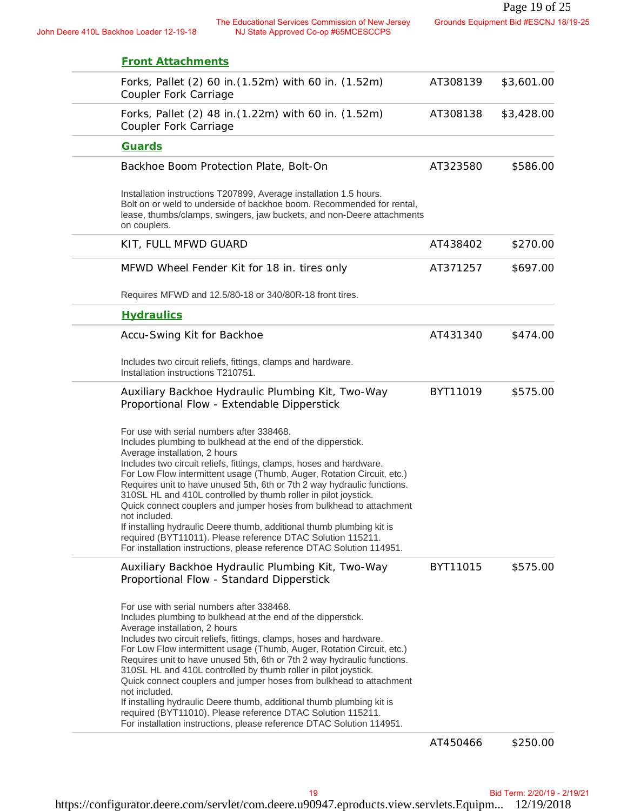John Deere 410L Backhoe Loader 12-19-18 The Educational Services Commission of New Jersey NJ State Approved Co-op #65MCESCCPS

| <b>Front Attachments</b>                                                                                                                                                                                                                                                                                                                                                                                                                                                                                                                                                                                                                                                                                                                           |          |            |
|----------------------------------------------------------------------------------------------------------------------------------------------------------------------------------------------------------------------------------------------------------------------------------------------------------------------------------------------------------------------------------------------------------------------------------------------------------------------------------------------------------------------------------------------------------------------------------------------------------------------------------------------------------------------------------------------------------------------------------------------------|----------|------------|
| Forks, Pallet (2) 60 in. (1.52m) with 60 in. (1.52m)<br>Coupler Fork Carriage                                                                                                                                                                                                                                                                                                                                                                                                                                                                                                                                                                                                                                                                      | AT308139 | \$3,601.00 |
| Forks, Pallet (2) 48 in. (1.22m) with 60 in. (1.52m)<br>Coupler Fork Carriage                                                                                                                                                                                                                                                                                                                                                                                                                                                                                                                                                                                                                                                                      | AT308138 | \$3,428.00 |
| Guards                                                                                                                                                                                                                                                                                                                                                                                                                                                                                                                                                                                                                                                                                                                                             |          |            |
| Backhoe Boom Protection Plate, Bolt-On                                                                                                                                                                                                                                                                                                                                                                                                                                                                                                                                                                                                                                                                                                             | AT323580 | \$586.00   |
| Installation instructions T207899, Average installation 1.5 hours.<br>Bolt on or weld to underside of backhoe boom. Recommended for rental,<br>lease, thumbs/clamps, swingers, jaw buckets, and non-Deere attachments<br>on couplers.                                                                                                                                                                                                                                                                                                                                                                                                                                                                                                              |          |            |
| KIT, FULL MFWD GUARD                                                                                                                                                                                                                                                                                                                                                                                                                                                                                                                                                                                                                                                                                                                               | AT438402 | \$270.00   |
| MFWD Wheel Fender Kit for 18 in. tires only                                                                                                                                                                                                                                                                                                                                                                                                                                                                                                                                                                                                                                                                                                        | AT371257 | \$697.00   |
| Requires MFWD and 12.5/80-18 or 340/80R-18 front tires.                                                                                                                                                                                                                                                                                                                                                                                                                                                                                                                                                                                                                                                                                            |          |            |
| <b>Hydraulics</b>                                                                                                                                                                                                                                                                                                                                                                                                                                                                                                                                                                                                                                                                                                                                  |          |            |
| Accu-Swing Kit for Backhoe                                                                                                                                                                                                                                                                                                                                                                                                                                                                                                                                                                                                                                                                                                                         | AT431340 | \$474.00   |
| Includes two circuit reliefs, fittings, clamps and hardware.<br>Installation instructions T210751.                                                                                                                                                                                                                                                                                                                                                                                                                                                                                                                                                                                                                                                 |          |            |
| Auxiliary Backhoe Hydraulic Plumbing Kit, Two-Way<br>Proportional Flow - Extendable Dipperstick                                                                                                                                                                                                                                                                                                                                                                                                                                                                                                                                                                                                                                                    | BYT11019 | \$575.00   |
| For use with serial numbers after 338468.<br>Includes plumbing to bulkhead at the end of the dipperstick.<br>Average installation, 2 hours<br>Includes two circuit reliefs, fittings, clamps, hoses and hardware.<br>For Low Flow intermittent usage (Thumb, Auger, Rotation Circuit, etc.)<br>Requires unit to have unused 5th, 6th or 7th 2 way hydraulic functions.<br>310SL HL and 410L controlled by thumb roller in pilot joystick.<br>Quick connect couplers and jumper hoses from bulkhead to attachment<br>not included.<br>If installing hydraulic Deere thumb, additional thumb plumbing kit is<br>required (BYT11011). Please reference DTAC Solution 115211.<br>For installation instructions, please reference DTAC Solution 114951. |          |            |
| Auxiliary Backhoe Hydraulic Plumbing Kit, Two-Way<br>Proportional Flow - Standard Dipperstick                                                                                                                                                                                                                                                                                                                                                                                                                                                                                                                                                                                                                                                      | BYT11015 | \$575.00   |
| For use with serial numbers after 338468.<br>Includes plumbing to bulkhead at the end of the dipperstick.<br>Average installation, 2 hours<br>Includes two circuit reliefs, fittings, clamps, hoses and hardware.<br>For Low Flow intermittent usage (Thumb, Auger, Rotation Circuit, etc.)<br>Requires unit to have unused 5th, 6th or 7th 2 way hydraulic functions.<br>310SL HL and 410L controlled by thumb roller in pilot joystick.<br>Quick connect couplers and jumper hoses from bulkhead to attachment<br>not included.<br>If installing hydraulic Deere thumb, additional thumb plumbing kit is<br>required (BYT11010). Please reference DTAC Solution 115211.<br>For installation instructions, please reference DTAC Solution 114951. |          |            |
|                                                                                                                                                                                                                                                                                                                                                                                                                                                                                                                                                                                                                                                                                                                                                    |          |            |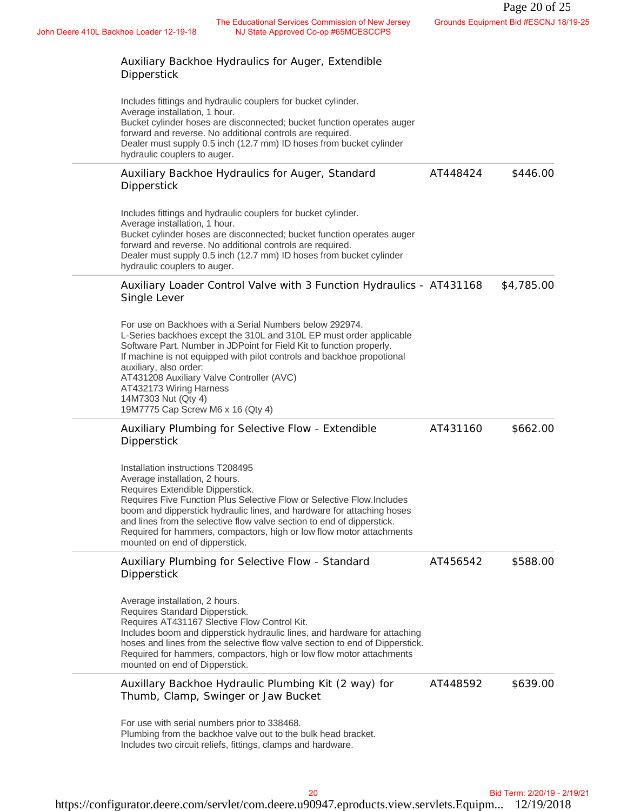| The Educational Services Commission of New Jersey<br>NJ State Approved Co-op #65MCESCCPS<br>ere 410L Backhoe Loader 12-19-18                                                                                                                                                                                                                                                                                                                   |          | Grounds Equipment Bid #ESCNJ 18/19-25 |
|------------------------------------------------------------------------------------------------------------------------------------------------------------------------------------------------------------------------------------------------------------------------------------------------------------------------------------------------------------------------------------------------------------------------------------------------|----------|---------------------------------------|
| Auxiliary Backhoe Hydraulics for Auger, Extendible<br>Dipperstick                                                                                                                                                                                                                                                                                                                                                                              |          |                                       |
| Includes fittings and hydraulic couplers for bucket cylinder.<br>Average installation, 1 hour.<br>Bucket cylinder hoses are disconnected; bucket function operates auger<br>forward and reverse. No additional controls are required.<br>Dealer must supply 0.5 inch (12.7 mm) ID hoses from bucket cylinder<br>hydraulic couplers to auger.                                                                                                   |          |                                       |
| Auxiliary Backhoe Hydraulics for Auger, Standard<br>Dipperstick                                                                                                                                                                                                                                                                                                                                                                                | AT448424 | \$446.00                              |
| Includes fittings and hydraulic couplers for bucket cylinder.<br>Average installation, 1 hour.<br>Bucket cylinder hoses are disconnected; bucket function operates auger<br>forward and reverse. No additional controls are required.<br>Dealer must supply 0.5 inch (12.7 mm) ID hoses from bucket cylinder<br>hydraulic couplers to auger.                                                                                                   |          |                                       |
| Auxiliary Loader Control Valve with 3 Function Hydraulics - AT431168<br>Single Lever                                                                                                                                                                                                                                                                                                                                                           |          | \$4,785.00                            |
| For use on Backhoes with a Serial Numbers below 292974.<br>L-Series backhoes except the 310L and 310L EP must order applicable<br>Software Part. Number in JDPoint for Field Kit to function properly.<br>If machine is not equipped with pilot controls and backhoe propotional<br>auxiliary, also order:<br>AT431208 Auxiliary Valve Controller (AVC)<br>AT432173 Wiring Harness<br>14M7303 Nut (Qty 4)<br>19M7775 Cap Screw M6 x 16 (Qty 4) |          |                                       |
| Auxiliary Plumbing for Selective Flow - Extendible<br>Dipperstick                                                                                                                                                                                                                                                                                                                                                                              | AT431160 | \$662.00                              |
| Installation instructions T208495<br>Average installation, 2 hours.<br>Requires Extendible Dipperstick.<br>Requires Five Function Plus Selective Flow or Selective Flow.Includes<br>boom and dipperstick hydraulic lines, and hardware for attaching hoses<br>and lines from the selective flow valve section to end of dipperstick.<br>Required for hammers, compactors, high or low flow motor attachments<br>mounted on end of dipperstick. |          |                                       |
| Auxiliary Plumbing for Selective Flow - Standard<br>Dipperstick                                                                                                                                                                                                                                                                                                                                                                                | AT456542 | \$588.00                              |
| Average installation, 2 hours.<br>Requires Standard Dipperstick.<br>Requires AT431167 Slective Flow Control Kit.<br>Includes boom and dipperstick hydraulic lines, and hardware for attaching<br>hoses and lines from the selective flow valve section to end of Dipperstick.<br>Required for hammers, compactors, high or low flow motor attachments<br>mounted on end of Dipperstick.                                                        |          |                                       |
| Auxillary Backhoe Hydraulic Plumbing Kit (2 way) for<br>Thumb, Clamp, Swinger or Jaw Bucket                                                                                                                                                                                                                                                                                                                                                    | AT448592 | \$639.00                              |
| For use with serial numbers prior to 338468.<br>Plumbing from the backhoe valve out to the bulk head bracket.<br>Includes two circuit reliefs, fittings, clamps and hardware.                                                                                                                                                                                                                                                                  |          |                                       |
| 20                                                                                                                                                                                                                                                                                                                                                                                                                                             |          | Bid Term: 2/20/19 - 2/19/21           |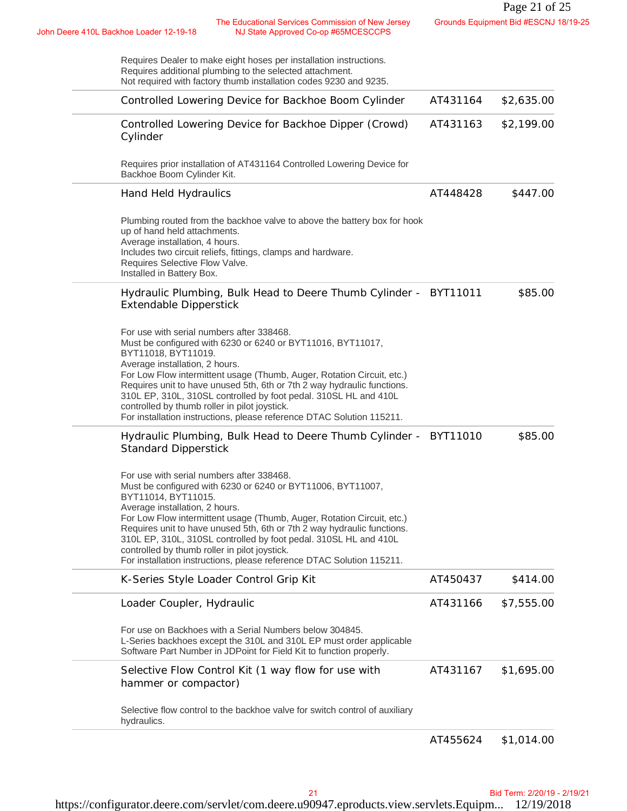| Requires Dealer to make eight hoses per installation instructions.<br>Requires additional plumbing to the selected attachment.<br>Not required with factory thumb installation codes 9230 and 9235.                                                                                                                                                                                                                                                                                                                  |          |            |
|----------------------------------------------------------------------------------------------------------------------------------------------------------------------------------------------------------------------------------------------------------------------------------------------------------------------------------------------------------------------------------------------------------------------------------------------------------------------------------------------------------------------|----------|------------|
| Controlled Lowering Device for Backhoe Boom Cylinder                                                                                                                                                                                                                                                                                                                                                                                                                                                                 | AT431164 | \$2,635.00 |
| Controlled Lowering Device for Backhoe Dipper (Crowd)<br>Cylinder                                                                                                                                                                                                                                                                                                                                                                                                                                                    | AT431163 | \$2,199.00 |
| Requires prior installation of AT431164 Controlled Lowering Device for<br>Backhoe Boom Cylinder Kit.                                                                                                                                                                                                                                                                                                                                                                                                                 |          |            |
| Hand Held Hydraulics                                                                                                                                                                                                                                                                                                                                                                                                                                                                                                 | AT448428 | \$447.00   |
| Plumbing routed from the backhoe valve to above the battery box for hook<br>up of hand held attachments.<br>Average installation, 4 hours.<br>Includes two circuit reliefs, fittings, clamps and hardware.<br>Requires Selective Flow Valve.<br>Installed in Battery Box.                                                                                                                                                                                                                                            |          |            |
| Hydraulic Plumbing, Bulk Head to Deere Thumb Cylinder - BYT11011<br><b>Extendable Dipperstick</b>                                                                                                                                                                                                                                                                                                                                                                                                                    |          | \$85.00    |
| For use with serial numbers after 338468.<br>Must be configured with 6230 or 6240 or BYT11016, BYT11017,<br>BYT11018, BYT11019.<br>Average installation, 2 hours.<br>For Low Flow intermittent usage (Thumb, Auger, Rotation Circuit, etc.)<br>Requires unit to have unused 5th, 6th or 7th 2 way hydraulic functions.<br>310L EP, 310L, 310SL controlled by foot pedal. 310SL HL and 410L<br>controlled by thumb roller in pilot joystick.<br>For installation instructions, please reference DTAC Solution 115211. |          |            |
| Hydraulic Plumbing, Bulk Head to Deere Thumb Cylinder - BYT11010<br><b>Standard Dipperstick</b>                                                                                                                                                                                                                                                                                                                                                                                                                      |          | \$85.00    |
| For use with serial numbers after 338468.<br>Must be configured with 6230 or 6240 or BYT11006, BYT11007,<br>BYT11014, BYT11015.<br>Average installation, 2 hours.<br>For Low Flow intermittent usage (Thumb, Auger, Rotation Circuit, etc.)<br>Requires unit to have unused 5th, 6th or 7th 2 way hydraulic functions.<br>310L EP, 310L, 310SL controlled by foot pedal. 310SL HL and 410L<br>controlled by thumb roller in pilot joystick.<br>For installation instructions, please reference DTAC Solution 115211. |          |            |
| K-Series Style Loader Control Grip Kit                                                                                                                                                                                                                                                                                                                                                                                                                                                                               | AT450437 | \$414.00   |
| Loader Coupler, Hydraulic                                                                                                                                                                                                                                                                                                                                                                                                                                                                                            | AT431166 | \$7,555.00 |
| For use on Backhoes with a Serial Numbers below 304845.<br>L-Series backhoes except the 310L and 310L EP must order applicable<br>Software Part Number in JDPoint for Field Kit to function properly.                                                                                                                                                                                                                                                                                                                |          |            |
| Selective Flow Control Kit (1 way flow for use with<br>hammer or compactor)                                                                                                                                                                                                                                                                                                                                                                                                                                          | AT431167 | \$1,695.00 |
| Selective flow control to the backhoe valve for switch control of auxiliary<br>hydraulics.                                                                                                                                                                                                                                                                                                                                                                                                                           |          |            |
|                                                                                                                                                                                                                                                                                                                                                                                                                                                                                                                      |          |            |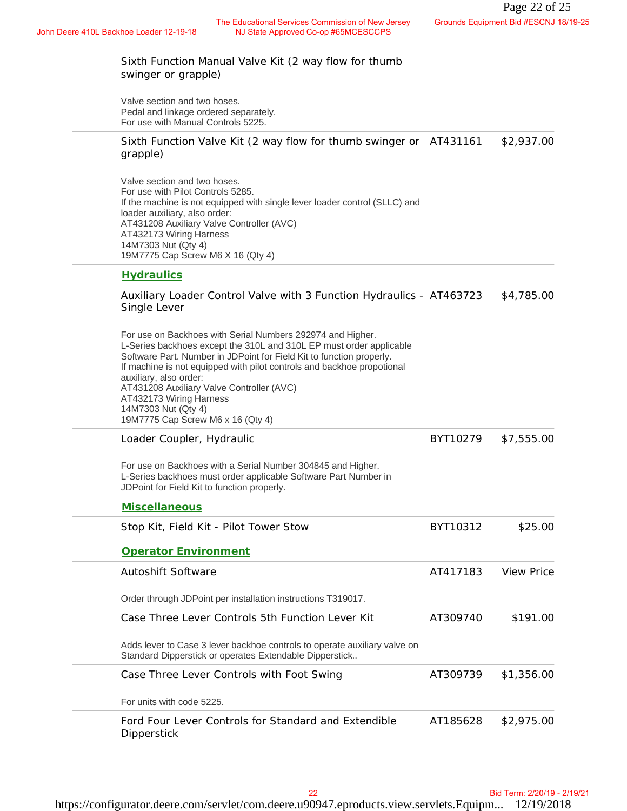Sixth Function Manual Valve Kit (2 way flow for thumb swinger or grapple) Valve section and two hoses. Pedal and linkage ordered separately. For use with Manual Controls 5225. Sixth Function Valve Kit (2 way flow for thumb swinger or AT431161 \$2,937.00 grapple) Valve section and two hoses. For use with Pilot Controls 5285. If the machine is not equipped with single lever loader control (SLLC) and loader auxiliary, also order: AT431208 Auxiliary Valve Controller (AVC) AT432173 Wiring Harness 14M7303 Nut (Qty 4) 19M7775 Cap Screw M6 X 16 (Qty 4) **Hydraulics** Auxiliary Loader Control Valve with 3 Function Hydraulics - AT463723 \$4,785.00 Single Lever For use on Backhoes with Serial Numbers 292974 and Higher. L-Series backhoes except the 310L and 310L EP must order applicable Software Part. Number in JDPoint for Field Kit to function properly. If machine is not equipped with pilot controls and backhoe propotional auxiliary, also order: AT431208 Auxiliary Valve Controller (AVC) AT432173 Wiring Harness 14M7303 Nut (Qty 4) 19M7775 Cap Screw M6 x 16 (Qty 4) Loader Coupler, Hydraulic For use on Backhoes with a Serial Number 304845 and Higher. L-Series backhoes must order applicable Software Part Number in JDPoint for Field Kit to function properly. BYT10279 \$7,555.00 **Miscellaneous** Stop Kit, Field Kit - Pilot Tower Stow **BYT10312** \$25.00 **Operator Environment** Autoshift Software Order through JDPoint per installation instructions T319017. AT417183 View Price Case Three Lever Controls 5th Function Lever Kit Adds lever to Case 3 lever backhoe controls to operate auxiliary valve on Standard Dipperstick or operates Extendable Dipperstick.. AT309740 \$191.00 Case Three Lever Controls with Foot Swing For units with code 5225. AT309739 \$1,356.00 Ford Four Lever Controls for Standard and Extendible **Dipperstick** AT185628 \$2,975.00 Commission of New Jeres,<br>Coop #SMCSSCCPS<br>Coop #SMCSSCCPS<br>Tay flow for thumb<br>for thumb swinger or AT431161 \$2,937.00<br>roader control (SLLC) and<br>Function Hydraulics - AT463723 \$4,785.00<br>Function Hydraulics - AT463723 \$4,785.0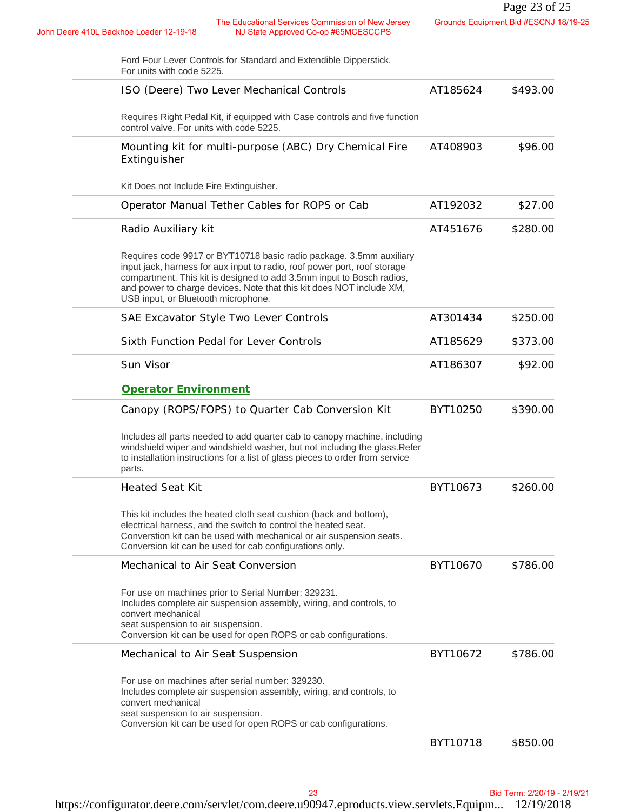| The Educational Services Commission of New Jersey<br>John Deere 410L Backhoe Loader 12-19-18<br>NJ State Approved Co-op #65MCESCCPS                                                                                                                                                                                                      |          | Page 23 of 25<br>Grounds Equipment Bid #ESCNJ 18/19-25 |
|------------------------------------------------------------------------------------------------------------------------------------------------------------------------------------------------------------------------------------------------------------------------------------------------------------------------------------------|----------|--------------------------------------------------------|
|                                                                                                                                                                                                                                                                                                                                          |          |                                                        |
| Ford Four Lever Controls for Standard and Extendible Dipperstick.<br>For units with code 5225.                                                                                                                                                                                                                                           |          |                                                        |
| ISO (Deere) Two Lever Mechanical Controls                                                                                                                                                                                                                                                                                                | AT185624 | \$493.00                                               |
| Requires Right Pedal Kit, if equipped with Case controls and five function<br>control valve. For units with code 5225.                                                                                                                                                                                                                   |          |                                                        |
| Mounting kit for multi-purpose (ABC) Dry Chemical Fire<br>Extinguisher                                                                                                                                                                                                                                                                   | AT408903 | \$96.00                                                |
| Kit Does not Include Fire Extinguisher.                                                                                                                                                                                                                                                                                                  |          |                                                        |
| Operator Manual Tether Cables for ROPS or Cab                                                                                                                                                                                                                                                                                            | AT192032 | \$27.00                                                |
| Radio Auxiliary kit                                                                                                                                                                                                                                                                                                                      | AT451676 | \$280.00                                               |
| Requires code 9917 or BYT10718 basic radio package. 3.5mm auxiliary<br>input jack, harness for aux input to radio, roof power port, roof storage<br>compartment. This kit is designed to add 3.5mm input to Bosch radios,<br>and power to charge devices. Note that this kit does NOT include XM,<br>USB input, or Bluetooth microphone. |          |                                                        |
| SAE Excavator Style Two Lever Controls                                                                                                                                                                                                                                                                                                   | AT301434 | \$250.00                                               |
| Sixth Function Pedal for Lever Controls                                                                                                                                                                                                                                                                                                  | AT185629 | \$373.00                                               |
| Sun Visor                                                                                                                                                                                                                                                                                                                                | AT186307 | \$92.00                                                |
| Operator Environment                                                                                                                                                                                                                                                                                                                     |          |                                                        |
| Canopy (ROPS/FOPS) to Quarter Cab Conversion Kit                                                                                                                                                                                                                                                                                         | BYT10250 | \$390.00                                               |
| Includes all parts needed to add quarter cab to canopy machine, including<br>windshield wiper and windshield washer, but not including the glass. Refer<br>to installation instructions for a list of glass pieces to order from service<br>parts.                                                                                       |          |                                                        |
| <b>Heated Seat Kit</b>                                                                                                                                                                                                                                                                                                                   | BYT10673 | \$260.00                                               |
| This kit includes the heated cloth seat cushion (back and bottom),<br>electrical harness, and the switch to control the heated seat.<br>Converstion kit can be used with mechanical or air suspension seats.<br>Conversion kit can be used for cab configurations only.                                                                  |          |                                                        |
| Mechanical to Air Seat Conversion                                                                                                                                                                                                                                                                                                        | BYT10670 | \$786.00                                               |
| For use on machines prior to Serial Number: 329231.<br>Includes complete air suspension assembly, wiring, and controls, to<br>convert mechanical<br>seat suspension to air suspension.<br>Conversion kit can be used for open ROPS or cab configurations.                                                                                |          |                                                        |
| Mechanical to Air Seat Suspension                                                                                                                                                                                                                                                                                                        | BYT10672 | \$786.00                                               |
| For use on machines after serial number: 329230.<br>Includes complete air suspension assembly, wiring, and controls, to<br>convert mechanical<br>seat suspension to air suspension.<br>Conversion kit can be used for open ROPS or cab configurations.                                                                                   |          |                                                        |
|                                                                                                                                                                                                                                                                                                                                          | BYT10718 | \$850.00                                               |
|                                                                                                                                                                                                                                                                                                                                          |          |                                                        |
| 23                                                                                                                                                                                                                                                                                                                                       |          | Bid Term: 2/20/19 - 2/19/21                            |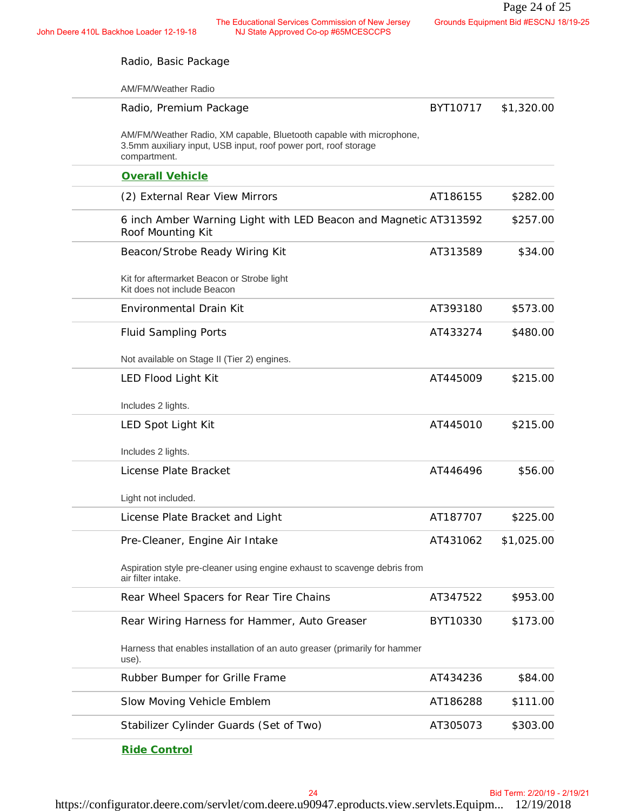John Deere 410L Backhoe Loader 12-19-18<br>NJ State Approved Co-op #65MCESCCPS NJ State Approved Co-op #65MCESCCPS

| Radio, Basic Package                                                                                                                                   |          |            |
|--------------------------------------------------------------------------------------------------------------------------------------------------------|----------|------------|
| AM/FM/Weather Radio                                                                                                                                    |          |            |
| Radio, Premium Package                                                                                                                                 | BYT10717 | \$1,320.00 |
| AM/FM/Weather Radio, XM capable, Bluetooth capable with microphone,<br>3.5mm auxiliary input, USB input, roof power port, roof storage<br>compartment. |          |            |
| <b>Overall Vehicle</b>                                                                                                                                 |          |            |
| (2) External Rear View Mirrors                                                                                                                         | AT186155 | \$282.00   |
| 6 inch Amber Warning Light with LED Beacon and Magnetic AT313592<br>Roof Mounting Kit                                                                  |          | \$257.00   |
| Beacon/Strobe Ready Wiring Kit                                                                                                                         | AT313589 | \$34.00    |
| Kit for aftermarket Beacon or Strobe light<br>Kit does not include Beacon                                                                              |          |            |
| Environmental Drain Kit                                                                                                                                | AT393180 | \$573.00   |
| <b>Fluid Sampling Ports</b>                                                                                                                            | AT433274 | \$480.00   |
| Not available on Stage II (Tier 2) engines.                                                                                                            |          |            |
| LED Flood Light Kit                                                                                                                                    | AT445009 | \$215.00   |
| Includes 2 lights.                                                                                                                                     |          |            |
| LED Spot Light Kit                                                                                                                                     | AT445010 | \$215.00   |
| Includes 2 lights.                                                                                                                                     |          |            |
| License Plate Bracket                                                                                                                                  | AT446496 | \$56.00    |
| Light not included.                                                                                                                                    |          |            |
| License Plate Bracket and Light                                                                                                                        | AT187707 | \$225.00   |
| Pre-Cleaner, Engine Air Intake                                                                                                                         | AT431062 | \$1,025.00 |
| Aspiration style pre-cleaner using engine exhaust to scavenge debris from<br>air filter intake.                                                        |          |            |
| Rear Wheel Spacers for Rear Tire Chains                                                                                                                | AT347522 | \$953.00   |
| Rear Wiring Harness for Hammer, Auto Greaser                                                                                                           | BYT10330 | \$173.00   |
| Harness that enables installation of an auto greaser (primarily for hammer<br>use).                                                                    |          |            |
| Rubber Bumper for Grille Frame                                                                                                                         | AT434236 | \$84.00    |
| Slow Moving Vehicle Emblem                                                                                                                             | AT186288 | \$111.00   |
| Stabilizer Cylinder Guards (Set of Two)                                                                                                                | AT305073 | \$303.00   |
| Ride Control                                                                                                                                           |          |            |